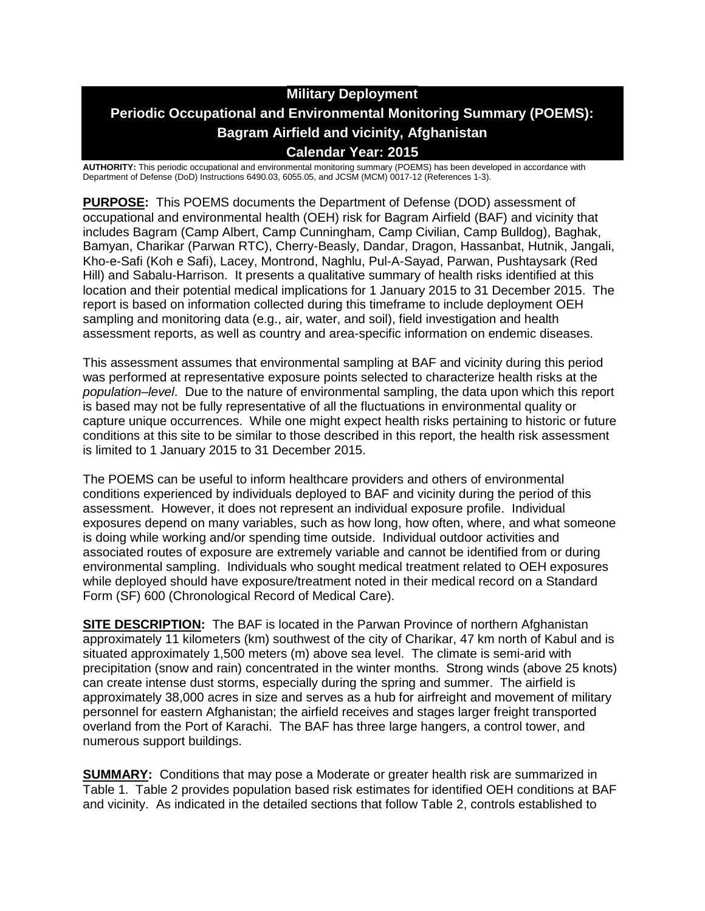# **Military Deployment Periodic Occupational and Environmental Monitoring Summary (POEMS): Bagram Airfield and vicinity, Afghanistan Calendar Year: 2015**

**AUTHORITY:** This periodic occupational and environmental monitoring summary (POEMS) has been developed in accordance with Department of Defense (DoD) Instructions 6490.03, 6055.05, and JCSM (MCM) 0017-12 (References 1-3).

**PURPOSE:** This POEMS documents the Department of Defense (DOD) assessment of occupational and environmental health (OEH) risk for Bagram Airfield (BAF) and vicinity that includes Bagram (Camp Albert, Camp Cunningham, Camp Civilian, Camp Bulldog), Baghak, Bamyan, Charikar (Parwan RTC), Cherry-Beasly, Dandar, Dragon, Hassanbat, Hutnik, Jangali, Kho-e-Safi (Koh e Safi), Lacey, Montrond, Naghlu, Pul-A-Sayad, Parwan, Pushtaysark (Red Hill) and Sabalu-Harrison. It presents a qualitative summary of health risks identified at this location and their potential medical implications for 1 January 2015 to 31 December 2015. The report is based on information collected during this timeframe to include deployment OEH sampling and monitoring data (e.g., air, water, and soil), field investigation and health assessment reports, as well as country and area-specific information on endemic diseases.

This assessment assumes that environmental sampling at BAF and vicinity during this period was performed at representative exposure points selected to characterize health risks at the *population–level*. Due to the nature of environmental sampling, the data upon which this report is based may not be fully representative of all the fluctuations in environmental quality or capture unique occurrences. While one might expect health risks pertaining to historic or future conditions at this site to be similar to those described in this report, the health risk assessment is limited to 1 January 2015 to 31 December 2015.

The POEMS can be useful to inform healthcare providers and others of environmental conditions experienced by individuals deployed to BAF and vicinity during the period of this assessment. However, it does not represent an individual exposure profile. Individual exposures depend on many variables, such as how long, how often, where, and what someone is doing while working and/or spending time outside. Individual outdoor activities and associated routes of exposure are extremely variable and cannot be identified from or during environmental sampling. Individuals who sought medical treatment related to OEH exposures while deployed should have exposure/treatment noted in their medical record on a Standard Form (SF) 600 (Chronological Record of Medical Care).

**SITE DESCRIPTION:** The BAF is located in the Parwan Province of northern Afghanistan approximately 11 kilometers (km) southwest of the city of Charikar, 47 km north of Kabul and is situated approximately 1,500 meters (m) above sea level. The climate is semi-arid with precipitation (snow and rain) concentrated in the winter months. Strong winds (above 25 knots) can create intense dust storms, especially during the spring and summer. The airfield is approximately 38,000 acres in size and serves as a hub for airfreight and movement of military personnel for eastern Afghanistan; the airfield receives and stages larger freight transported overland from the Port of Karachi. The BAF has three large hangers, a control tower, and numerous support buildings.

**SUMMARY:** Conditions that may pose a Moderate or greater health risk are summarized in Table 1. Table 2 provides population based risk estimates for identified OEH conditions at BAF and vicinity. As indicated in the detailed sections that follow Table 2, controls established to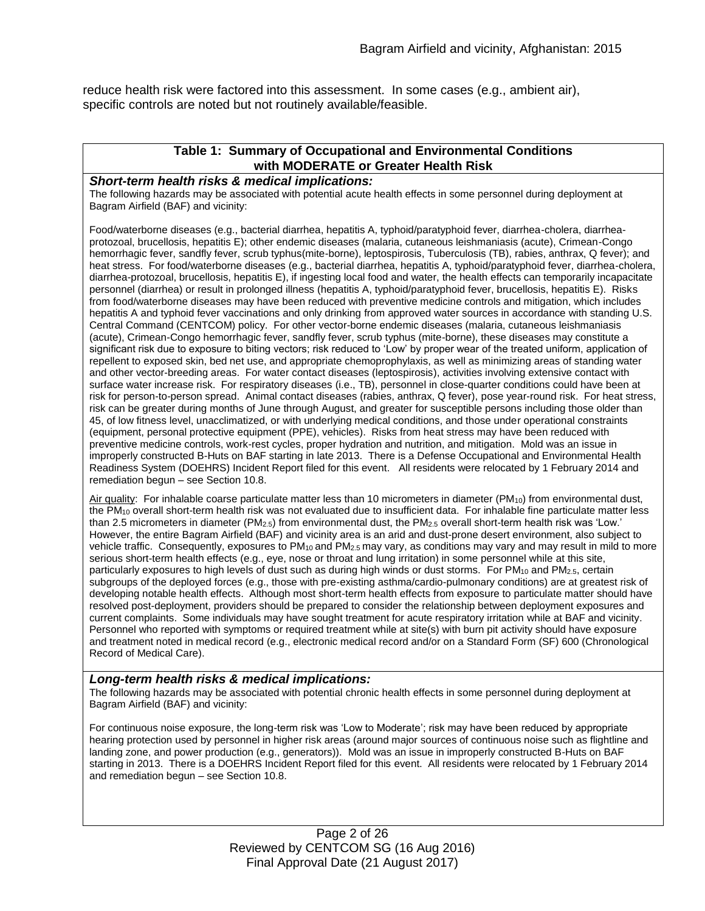reduce health risk were factored into this assessment. In some cases (e.g., ambient air), specific controls are noted but not routinely available/feasible.

#### **Table 1: Summary of Occupational and Environmental Conditions with MODERATE or Greater Health Risk**

#### *Short-term health risks & medical implications:*

The following hazards may be associated with potential acute health effects in some personnel during deployment at Bagram Airfield (BAF) and vicinity:

Food/waterborne diseases (e.g., bacterial diarrhea, hepatitis A, typhoid/paratyphoid fever, diarrhea-cholera, diarrheaprotozoal, brucellosis, hepatitis E); other endemic diseases (malaria, cutaneous leishmaniasis (acute), Crimean-Congo hemorrhagic fever, sandfly fever, scrub typhus(mite-borne), leptospirosis, Tuberculosis (TB), rabies, anthrax, Q fever); and heat stress. For food/waterborne diseases (e.g., bacterial diarrhea, hepatitis A, typhoid/paratyphoid fever, diarrhea-cholera, diarrhea-protozoal, brucellosis, hepatitis E), if ingesting local food and water, the health effects can temporarily incapacitate personnel (diarrhea) or result in prolonged illness (hepatitis A, typhoid/paratyphoid fever, brucellosis, hepatitis E). Risks from food/waterborne diseases may have been reduced with preventive medicine controls and mitigation, which includes hepatitis A and typhoid fever vaccinations and only drinking from approved water sources in accordance with standing U.S. Central Command (CENTCOM) policy. For other vector-borne endemic diseases (malaria, cutaneous leishmaniasis (acute), Crimean-Congo hemorrhagic fever, sandfly fever, scrub typhus (mite-borne), these diseases may constitute a significant risk due to exposure to biting vectors; risk reduced to 'Low' by proper wear of the treated uniform, application of repellent to exposed skin, bed net use, and appropriate chemoprophylaxis, as well as minimizing areas of standing water and other vector-breeding areas. For water contact diseases (leptospirosis), activities involving extensive contact with surface water increase risk. For respiratory diseases (i.e., TB), personnel in close-quarter conditions could have been at risk for person-to-person spread. Animal contact diseases (rabies, anthrax, Q fever), pose year-round risk. For heat stress, risk can be greater during months of June through August, and greater for susceptible persons including those older than 45, of low fitness level, unacclimatized, or with underlying medical conditions, and those under operational constraints (equipment, personal protective equipment (PPE), vehicles). Risks from heat stress may have been reduced with preventive medicine controls, work-rest cycles, proper hydration and nutrition, and mitigation. Mold was an issue in improperly constructed B-Huts on BAF starting in late 2013. There is a Defense Occupational and Environmental Health Readiness System (DOEHRS) Incident Report filed for this event. All residents were relocated by 1 February 2014 and remediation begun – see Section 10.8.

Air quality: For inhalable coarse particulate matter less than 10 micrometers in diameter (PM<sub>10</sub>) from environmental dust, the PM<sup>10</sup> overall short-term health risk was not evaluated due to insufficient data. For inhalable fine particulate matter less than 2.5 micrometers in diameter (PM2.5) from environmental dust, the PM2.5 overall short-term health risk was 'Low.' However, the entire Bagram Airfield (BAF) and vicinity area is an arid and dust-prone desert environment, also subject to vehicle traffic. Consequently, exposures to  $PM_{10}$  and  $PM_{2.5}$  may vary, as conditions may vary and may result in mild to more serious short-term health effects (e.g., eye, nose or throat and lung irritation) in some personnel while at this site, particularly exposures to high levels of dust such as during high winds or dust storms. For PM<sub>10</sub> and PM<sub>2.5</sub>, certain subgroups of the deployed forces (e.g., those with pre-existing asthma/cardio-pulmonary conditions) are at greatest risk of developing notable health effects. Although most short-term health effects from exposure to particulate matter should have resolved post-deployment, providers should be prepared to consider the relationship between deployment exposures and current complaints. Some individuals may have sought treatment for acute respiratory irritation while at BAF and vicinity. Personnel who reported with symptoms or required treatment while at site(s) with burn pit activity should have exposure and treatment noted in medical record (e.g., electronic medical record and/or on a Standard Form (SF) 600 (Chronological Record of Medical Care).

#### *Long-term health risks & medical implications:*

The following hazards may be associated with potential chronic health effects in some personnel during deployment at Bagram Airfield (BAF) and vicinity:

For continuous noise exposure, the long-term risk was 'Low to Moderate'; risk may have been reduced by appropriate hearing protection used by personnel in higher risk areas (around major sources of continuous noise such as flightline and landing zone, and power production (e.g., generators)). Mold was an issue in improperly constructed B-Huts on BAF starting in 2013. There is a DOEHRS Incident Report filed for this event. All residents were relocated by 1 February 2014 and remediation begun – see Section 10.8.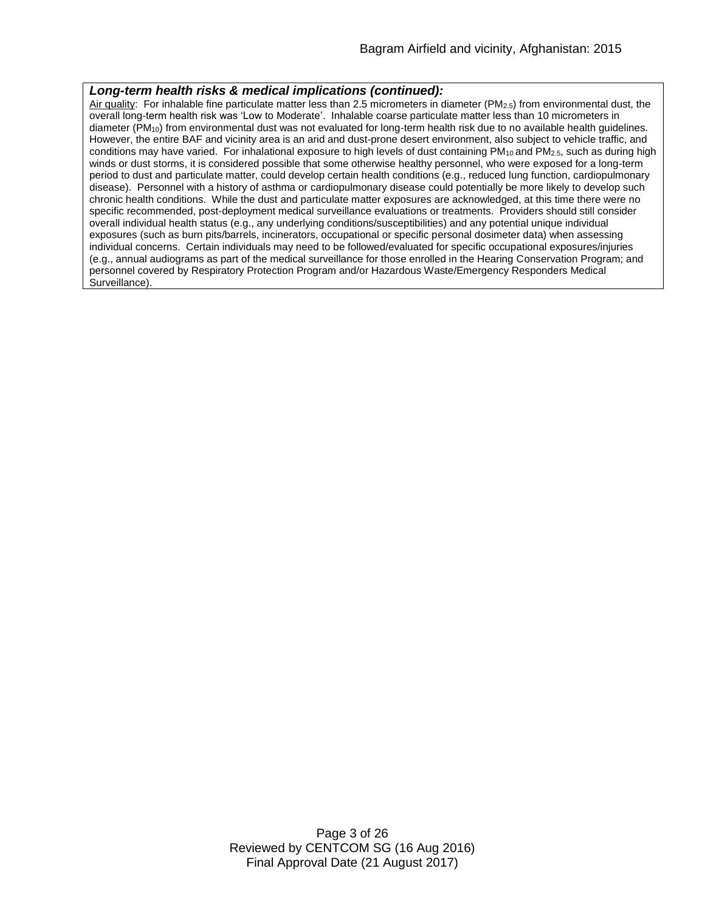#### *Long-term health risks & medical implications (continued):*

Air quality: For inhalable fine particulate matter less than 2.5 micrometers in diameter (PM2.5) from environmental dust, the overall long-term health risk was 'Low to Moderate'. Inhalable coarse particulate matter less than 10 micrometers in diameter (PM10) from environmental dust was not evaluated for long-term health risk due to no available health guidelines. However, the entire BAF and vicinity area is an arid and dust-prone desert environment, also subject to vehicle traffic, and conditions may have varied. For inhalational exposure to high levels of dust containing  $PM_{10}$  and  $PM_{2.5}$ , such as during high winds or dust storms, it is considered possible that some otherwise healthy personnel, who were exposed for a long-term period to dust and particulate matter, could develop certain health conditions (e.g., reduced lung function, cardiopulmonary disease). Personnel with a history of asthma or cardiopulmonary disease could potentially be more likely to develop such chronic health conditions. While the dust and particulate matter exposures are acknowledged, at this time there were no specific recommended, post-deployment medical surveillance evaluations or treatments. Providers should still consider overall individual health status (e.g., any underlying conditions/susceptibilities) and any potential unique individual exposures (such as burn pits/barrels, incinerators, occupational or specific personal dosimeter data) when assessing individual concerns. Certain individuals may need to be followed/evaluated for specific occupational exposures/injuries (e.g., annual audiograms as part of the medical surveillance for those enrolled in the Hearing Conservation Program; and personnel covered by Respiratory Protection Program and/or Hazardous Waste/Emergency Responders Medical Surveillance).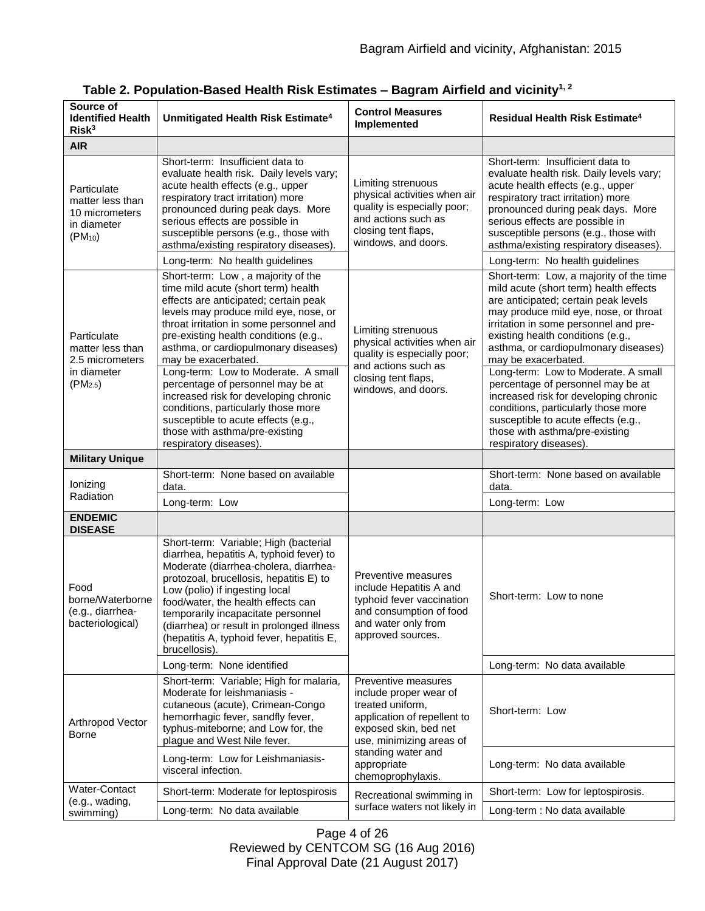| Source of<br><b>Identified Health</b><br>Risk <sup>3</sup>                        | Unmitigated Health Risk Estimate <sup>4</sup>                                                                                                                                                                                                                                                                                                                                                  | <b>Control Measures</b><br>Implemented                                                                                                                                                                          | <b>Residual Health Risk Estimate<sup>4</sup></b>                                                                                                                                                                                                                                                                   |
|-----------------------------------------------------------------------------------|------------------------------------------------------------------------------------------------------------------------------------------------------------------------------------------------------------------------------------------------------------------------------------------------------------------------------------------------------------------------------------------------|-----------------------------------------------------------------------------------------------------------------------------------------------------------------------------------------------------------------|--------------------------------------------------------------------------------------------------------------------------------------------------------------------------------------------------------------------------------------------------------------------------------------------------------------------|
| <b>AIR</b>                                                                        |                                                                                                                                                                                                                                                                                                                                                                                                |                                                                                                                                                                                                                 |                                                                                                                                                                                                                                                                                                                    |
| Particulate<br>matter less than<br>10 micrometers<br>in diameter<br>$(PM_{10})$   | Short-term: Insufficient data to<br>evaluate health risk. Daily levels vary;<br>acute health effects (e.g., upper<br>respiratory tract irritation) more<br>pronounced during peak days. More<br>serious effects are possible in<br>susceptible persons (e.g., those with<br>asthma/existing respiratory diseases).                                                                             | Limiting strenuous<br>physical activities when air<br>quality is especially poor;<br>and actions such as<br>closing tent flaps,<br>windows, and doors.                                                          | Short-term: Insufficient data to<br>evaluate health risk. Daily levels vary;<br>acute health effects (e.g., upper<br>respiratory tract irritation) more<br>pronounced during peak days. More<br>serious effects are possible in<br>susceptible persons (e.g., those with<br>asthma/existing respiratory diseases). |
|                                                                                   | Long-term: No health guidelines                                                                                                                                                                                                                                                                                                                                                                |                                                                                                                                                                                                                 | Long-term: No health guidelines                                                                                                                                                                                                                                                                                    |
| Particulate<br>matter less than<br>2.5 micrometers<br>in diameter<br>$(PM_{2.5})$ | Short-term: Low, a majority of the<br>time mild acute (short term) health<br>effects are anticipated; certain peak<br>levels may produce mild eye, nose, or<br>throat irritation in some personnel and<br>pre-existing health conditions (e.g.,<br>asthma, or cardiopulmonary diseases)<br>may be exacerbated.                                                                                 | Limiting strenuous<br>physical activities when air<br>quality is especially poor;<br>and actions such as<br>closing tent flaps,<br>windows, and doors.                                                          | Short-term: Low, a majority of the time<br>mild acute (short term) health effects<br>are anticipated; certain peak levels<br>may produce mild eye, nose, or throat<br>irritation in some personnel and pre-<br>existing health conditions (e.g.,<br>asthma, or cardiopulmonary diseases)<br>may be exacerbated.    |
|                                                                                   | Long-term: Low to Moderate. A small<br>percentage of personnel may be at<br>increased risk for developing chronic<br>conditions, particularly those more<br>susceptible to acute effects (e.g.,<br>those with asthma/pre-existing<br>respiratory diseases).                                                                                                                                    |                                                                                                                                                                                                                 | Long-term: Low to Moderate. A small<br>percentage of personnel may be at<br>increased risk for developing chronic<br>conditions, particularly those more<br>susceptible to acute effects (e.g.,<br>those with asthma/pre-existing<br>respiratory diseases).                                                        |
| <b>Military Unique</b>                                                            |                                                                                                                                                                                                                                                                                                                                                                                                |                                                                                                                                                                                                                 |                                                                                                                                                                                                                                                                                                                    |
| lonizing<br>Radiation                                                             | Short-term: None based on available<br>data.                                                                                                                                                                                                                                                                                                                                                   |                                                                                                                                                                                                                 | Short-term: None based on available<br>data.                                                                                                                                                                                                                                                                       |
|                                                                                   | Long-term: Low                                                                                                                                                                                                                                                                                                                                                                                 |                                                                                                                                                                                                                 | Long-term: Low                                                                                                                                                                                                                                                                                                     |
| <b>ENDEMIC</b><br><b>DISEASE</b>                                                  |                                                                                                                                                                                                                                                                                                                                                                                                |                                                                                                                                                                                                                 |                                                                                                                                                                                                                                                                                                                    |
| Food<br>borne/Waterborne<br>(e.g., diarrhea-<br>bacteriological)                  | Short-term: Variable; High (bacterial<br>diarrhea, hepatitis A, typhoid fever) to<br>Moderate (diarrhea-cholera, diarrhea-<br>protozoal, brucellosis, hepatitis E) to<br>Low (polio) if ingesting local<br>food/water, the health effects can<br>temporarily incapacitate personnel<br>(diarrhea) or result in prolonged illness<br>(hepatitis A, typhoid fever, hepatitis E,<br>brucellosis). | Preventive measures<br>include Hepatitis A and<br>typhoid fever vaccination<br>and consumption of food<br>and water only from<br>approved sources.                                                              | Short-term: Low to none                                                                                                                                                                                                                                                                                            |
|                                                                                   | Long-term: None identified                                                                                                                                                                                                                                                                                                                                                                     |                                                                                                                                                                                                                 | Long-term: No data available                                                                                                                                                                                                                                                                                       |
| Arthropod Vector<br><b>Borne</b>                                                  | Short-term: Variable; High for malaria,<br>Moderate for leishmaniasis -<br>cutaneous (acute), Crimean-Congo<br>hemorrhagic fever, sandfly fever,<br>typhus-miteborne; and Low for, the<br>plague and West Nile fever.                                                                                                                                                                          | Preventive measures<br>include proper wear of<br>treated uniform,<br>application of repellent to<br>exposed skin, bed net<br>use, minimizing areas of<br>standing water and<br>appropriate<br>chemoprophylaxis. | Short-term: Low                                                                                                                                                                                                                                                                                                    |
|                                                                                   | Long-term: Low for Leishmaniasis-<br>visceral infection.                                                                                                                                                                                                                                                                                                                                       |                                                                                                                                                                                                                 | Long-term: No data available                                                                                                                                                                                                                                                                                       |
| Water-Contact<br>(e.g., wading,<br>swimming)                                      | Short-term: Moderate for leptospirosis                                                                                                                                                                                                                                                                                                                                                         | Recreational swimming in<br>surface waters not likely in                                                                                                                                                        | Short-term: Low for leptospirosis.                                                                                                                                                                                                                                                                                 |
|                                                                                   | Long-term: No data available                                                                                                                                                                                                                                                                                                                                                                   |                                                                                                                                                                                                                 | Long-term : No data available                                                                                                                                                                                                                                                                                      |

**Table 2. Population-Based Health Risk Estimates – Bagram Airfield and vicinity1, 2**

Page 4 of 26 Reviewed by CENTCOM SG (16 Aug 2016) Final Approval Date (21 August 2017)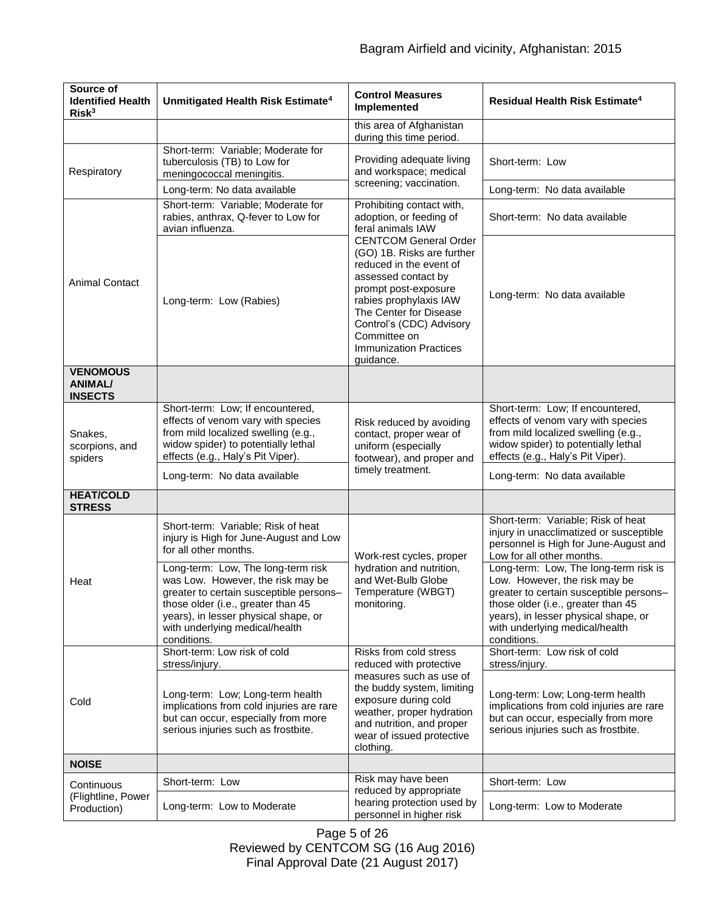| Source of<br><b>Identified Health</b><br>Risk <sup>3</sup> | Unmitigated Health Risk Estimate <sup>4</sup>                                                                                                                                                                                                     | <b>Control Measures</b><br>Implemented                                                                                                                                                                                                                                                                                                                          | Residual Health Risk Estimate <sup>4</sup>                                                                                                                                                                                                       |
|------------------------------------------------------------|---------------------------------------------------------------------------------------------------------------------------------------------------------------------------------------------------------------------------------------------------|-----------------------------------------------------------------------------------------------------------------------------------------------------------------------------------------------------------------------------------------------------------------------------------------------------------------------------------------------------------------|--------------------------------------------------------------------------------------------------------------------------------------------------------------------------------------------------------------------------------------------------|
|                                                            |                                                                                                                                                                                                                                                   | this area of Afghanistan<br>during this time period.                                                                                                                                                                                                                                                                                                            |                                                                                                                                                                                                                                                  |
| Respiratory                                                | Short-term: Variable; Moderate for<br>tuberculosis (TB) to Low for<br>meningococcal meningitis.                                                                                                                                                   | Providing adequate living<br>and workspace; medical<br>screening; vaccination.                                                                                                                                                                                                                                                                                  | Short-term: Low                                                                                                                                                                                                                                  |
|                                                            | Long-term: No data available                                                                                                                                                                                                                      |                                                                                                                                                                                                                                                                                                                                                                 | Long-term: No data available                                                                                                                                                                                                                     |
| <b>Animal Contact</b>                                      | Short-term: Variable; Moderate for<br>rabies, anthrax, Q-fever to Low for<br>avian influenza.                                                                                                                                                     | Prohibiting contact with,<br>adoption, or feeding of<br>feral animals IAW<br><b>CENTCOM General Order</b><br>(GO) 1B. Risks are further<br>reduced in the event of<br>assessed contact by<br>prompt post-exposure<br>rabies prophylaxis IAW<br>The Center for Disease<br>Control's (CDC) Advisory<br>Committee on<br><b>Immunization Practices</b><br>guidance. | Short-term: No data available                                                                                                                                                                                                                    |
|                                                            | Long-term: Low (Rabies)                                                                                                                                                                                                                           |                                                                                                                                                                                                                                                                                                                                                                 | Long-term: No data available                                                                                                                                                                                                                     |
| <b>VENOMOUS</b><br><b>ANIMAL/</b><br><b>INSECTS</b>        |                                                                                                                                                                                                                                                   |                                                                                                                                                                                                                                                                                                                                                                 |                                                                                                                                                                                                                                                  |
| Snakes,<br>scorpions, and<br>spiders                       | Short-term: Low; If encountered,<br>effects of venom vary with species<br>from mild localized swelling (e.g.,<br>widow spider) to potentially lethal<br>effects (e.g., Haly's Pit Viper).                                                         | Risk reduced by avoiding<br>contact, proper wear of<br>uniform (especially<br>footwear), and proper and<br>timely treatment.                                                                                                                                                                                                                                    | Short-term: Low; If encountered,<br>effects of venom vary with species<br>from mild localized swelling (e.g.,<br>widow spider) to potentially lethal<br>effects (e.g., Haly's Pit Viper).                                                        |
|                                                            | Long-term: No data available                                                                                                                                                                                                                      |                                                                                                                                                                                                                                                                                                                                                                 | Long-term: No data available                                                                                                                                                                                                                     |
| <b>HEAT/COLD</b><br><b>STRESS</b>                          |                                                                                                                                                                                                                                                   |                                                                                                                                                                                                                                                                                                                                                                 |                                                                                                                                                                                                                                                  |
| Heat                                                       | Short-term: Variable; Risk of heat<br>injury is High for June-August and Low<br>for all other months.                                                                                                                                             | Work-rest cycles, proper<br>hydration and nutrition,<br>and Wet-Bulb Globe<br>Temperature (WBGT)<br>monitoring.                                                                                                                                                                                                                                                 | Short-term: Variable; Risk of heat<br>injury in unacclimatized or susceptible<br>personnel is High for June-August and<br>Low for all other months.                                                                                              |
|                                                            | Long-term: Low, The long-term risk<br>was Low. However, the risk may be<br>greater to certain susceptible persons-<br>those older (i.e., greater than 45<br>years), in lesser physical shape, or<br>with underlying medical/health<br>conditions. |                                                                                                                                                                                                                                                                                                                                                                 | Long-term: Low, The long-term risk is<br>Low. However, the risk may be<br>greater to certain susceptible persons-<br>those older (i.e., greater than 45<br>years), in lesser physical shape, or<br>with underlying medical/health<br>conditions. |
| Cold                                                       | Short-term: Low risk of cold<br>stress/injury.                                                                                                                                                                                                    | Risks from cold stress<br>reduced with protective                                                                                                                                                                                                                                                                                                               | Short-term: Low risk of cold<br>stress/injury.                                                                                                                                                                                                   |
|                                                            | Long-term: Low; Long-term health<br>implications from cold injuries are rare<br>but can occur, especially from more<br>serious injuries such as frostbite.                                                                                        | measures such as use of<br>the buddy system, limiting<br>exposure during cold<br>weather, proper hydration<br>and nutrition, and proper<br>wear of issued protective<br>clothing.                                                                                                                                                                               | Long-term: Low; Long-term health<br>implications from cold injuries are rare<br>but can occur, especially from more<br>serious injuries such as frostbite.                                                                                       |
| <b>NOISE</b>                                               |                                                                                                                                                                                                                                                   |                                                                                                                                                                                                                                                                                                                                                                 |                                                                                                                                                                                                                                                  |
| Continuous                                                 | Short-term: Low                                                                                                                                                                                                                                   | Risk may have been<br>reduced by appropriate                                                                                                                                                                                                                                                                                                                    | Short-term: Low                                                                                                                                                                                                                                  |
| (Flightline, Power<br>Production)                          | Long-term: Low to Moderate                                                                                                                                                                                                                        | hearing protection used by<br>personnel in higher risk                                                                                                                                                                                                                                                                                                          | Long-term: Low to Moderate                                                                                                                                                                                                                       |

Page 5 of 26 Reviewed by CENTCOM SG (16 Aug 2016) Final Approval Date (21 August 2017)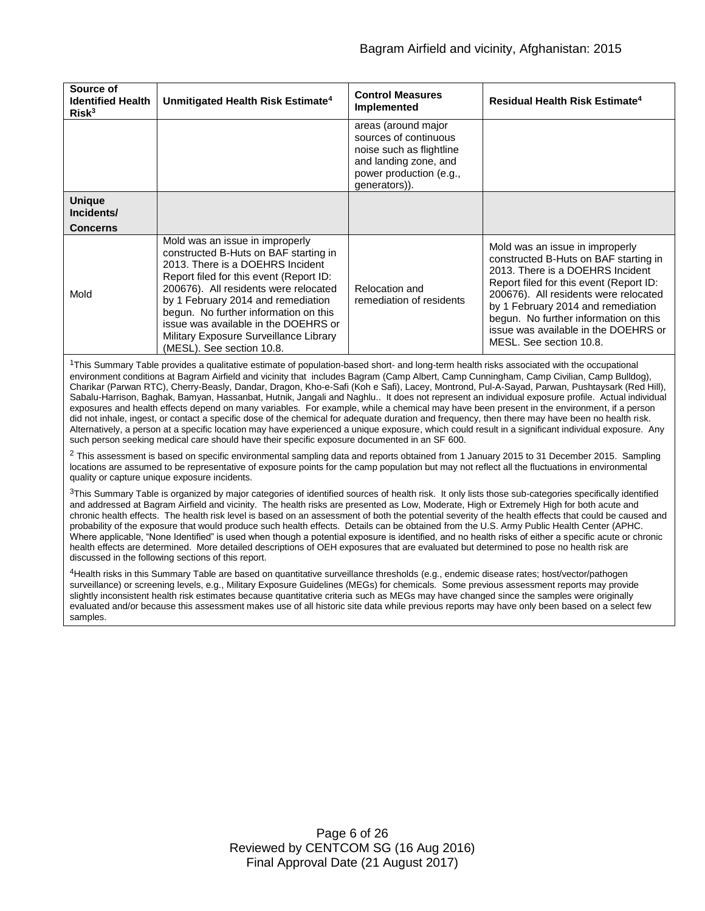| Source of<br><b>Identified Health</b><br>Risk <sup>3</sup> | Unmitigated Health Risk Estimate <sup>4</sup>                                                                                                                                                                                                                                                                                                                                                  | <b>Control Measures</b><br>Implemented                                                                                                        | Residual Health Risk Estimate <sup>4</sup>                                                                                                                                                                                                                                                                                                         |
|------------------------------------------------------------|------------------------------------------------------------------------------------------------------------------------------------------------------------------------------------------------------------------------------------------------------------------------------------------------------------------------------------------------------------------------------------------------|-----------------------------------------------------------------------------------------------------------------------------------------------|----------------------------------------------------------------------------------------------------------------------------------------------------------------------------------------------------------------------------------------------------------------------------------------------------------------------------------------------------|
|                                                            |                                                                                                                                                                                                                                                                                                                                                                                                | areas (around major<br>sources of continuous<br>noise such as flightline<br>and landing zone, and<br>power production (e.g.,<br>generators)). |                                                                                                                                                                                                                                                                                                                                                    |
| <b>Unique</b><br>Incidents/                                |                                                                                                                                                                                                                                                                                                                                                                                                |                                                                                                                                               |                                                                                                                                                                                                                                                                                                                                                    |
| Concerns                                                   |                                                                                                                                                                                                                                                                                                                                                                                                |                                                                                                                                               |                                                                                                                                                                                                                                                                                                                                                    |
| Mold                                                       | Mold was an issue in improperly<br>constructed B-Huts on BAF starting in<br>2013. There is a DOEHRS Incident<br>Report filed for this event (Report ID:<br>200676). All residents were relocated<br>by 1 February 2014 and remediation<br>begun. No further information on this<br>issue was available in the DOEHRS or<br>Military Exposure Surveillance Library<br>(MESL). See section 10.8. | Relocation and<br>remediation of residents                                                                                                    | Mold was an issue in improperly<br>constructed B-Huts on BAF starting in<br>2013. There is a DOEHRS Incident<br>Report filed for this event (Report ID:<br>200676). All residents were relocated<br>by 1 February 2014 and remediation<br>begun. No further information on this<br>issue was available in the DOEHRS or<br>MESL. See section 10.8. |

 $1$ This Summary Table provides a qualitative estimate of population-based short- and long-term health risks associated with the occupational environment conditions at Bagram Airfield and vicinity that includes Bagram (Camp Albert, Camp Cunningham, Camp Civilian, Camp Bulldog), Charikar (Parwan RTC), Cherry-Beasly, Dandar, Dragon, Kho-e-Safi (Koh e Safi), Lacey, Montrond, Pul-A-Sayad, Parwan, Pushtaysark (Red Hill), Sabalu-Harrison, Baghak, Bamyan, Hassanbat, Hutnik, Jangali and Naghlu.. It does not represent an individual exposure profile. Actual individual exposures and health effects depend on many variables. For example, while a chemical may have been present in the environment, if a person did not inhale, ingest, or contact a specific dose of the chemical for adequate duration and frequency, then there may have been no health risk. Alternatively, a person at a specific location may have experienced a unique exposure, which could result in a significant individual exposure. Any such person seeking medical care should have their specific exposure documented in an SF 600.

<sup>2</sup> This assessment is based on specific environmental sampling data and reports obtained from 1 January 2015 to 31 December 2015. Sampling locations are assumed to be representative of exposure points for the camp population but may not reflect all the fluctuations in environmental quality or capture unique exposure incidents.

<sup>3</sup>This Summary Table is organized by major categories of identified sources of health risk. It only lists those sub-categories specifically identified and addressed at Bagram Airfield and vicinity. The health risks are presented as Low, Moderate, High or Extremely High for both acute and chronic health effects. The health risk level is based on an assessment of both the potential severity of the health effects that could be caused and probability of the exposure that would produce such health effects. Details can be obtained from the U.S. Army Public Health Center (APHC. Where applicable, "None Identified" is used when though a potential exposure is identified, and no health risks of either a specific acute or chronic health effects are determined. More detailed descriptions of OEH exposures that are evaluated but determined to pose no health risk are discussed in the following sections of this report.

4Health risks in this Summary Table are based on quantitative surveillance thresholds (e.g., endemic disease rates; host/vector/pathogen surveillance) or screening levels, e.g., Military Exposure Guidelines (MEGs) for chemicals*.* Some previous assessment reports may provide slightly inconsistent health risk estimates because quantitative criteria such as MEGs may have changed since the samples were originally evaluated and/or because this assessment makes use of all historic site data while previous reports may have only been based on a select few samples.

> Page 6 of 26 Reviewed by CENTCOM SG (16 Aug 2016) Final Approval Date (21 August 2017)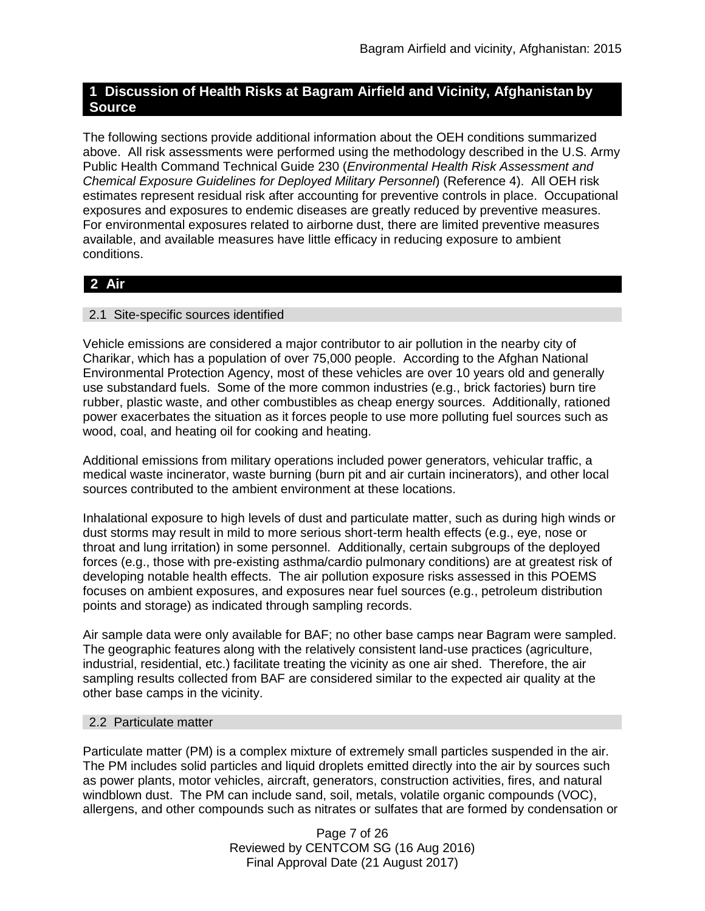## **1 Discussion of Health Risks at Bagram Airfield and Vicinity, Afghanistan by Source**

The following sections provide additional information about the OEH conditions summarized above. All risk assessments were performed using the methodology described in the U.S. Army Public Health Command Technical Guide 230 (*Environmental Health Risk Assessment and Chemical Exposure Guidelines for Deployed Military Personnel*) (Reference 4). All OEH risk estimates represent residual risk after accounting for preventive controls in place. Occupational exposures and exposures to endemic diseases are greatly reduced by preventive measures. For environmental exposures related to airborne dust, there are limited preventive measures available, and available measures have little efficacy in reducing exposure to ambient conditions.

# **2 Air**

## 2.1 Site-specific sources identified

Vehicle emissions are considered a major contributor to air pollution in the nearby city of Charikar, which has a population of over 75,000 people. According to the Afghan National Environmental Protection Agency, most of these vehicles are over 10 years old and generally use substandard fuels. Some of the more common industries (e.g., brick factories) burn tire rubber, plastic waste, and other combustibles as cheap energy sources. Additionally, rationed power exacerbates the situation as it forces people to use more polluting fuel sources such as wood, coal, and heating oil for cooking and heating.

Additional emissions from military operations included power generators, vehicular traffic, a medical waste incinerator, waste burning (burn pit and air curtain incinerators), and other local sources contributed to the ambient environment at these locations.

Inhalational exposure to high levels of dust and particulate matter, such as during high winds or dust storms may result in mild to more serious short-term health effects (e.g., eye, nose or throat and lung irritation) in some personnel. Additionally, certain subgroups of the deployed forces (e.g., those with pre-existing asthma/cardio pulmonary conditions) are at greatest risk of developing notable health effects. The air pollution exposure risks assessed in this POEMS focuses on ambient exposures, and exposures near fuel sources (e.g., petroleum distribution points and storage) as indicated through sampling records.

Air sample data were only available for BAF; no other base camps near Bagram were sampled. The geographic features along with the relatively consistent land-use practices (agriculture, industrial, residential, etc.) facilitate treating the vicinity as one air shed. Therefore, the air sampling results collected from BAF are considered similar to the expected air quality at the other base camps in the vicinity.

## 2.2 Particulate matter

Particulate matter (PM) is a complex mixture of extremely small particles suspended in the air. The PM includes solid particles and liquid droplets emitted directly into the air by sources such as power plants, motor vehicles, aircraft, generators, construction activities, fires, and natural windblown dust. The PM can include sand, soil, metals, volatile organic compounds (VOC), allergens, and other compounds such as nitrates or sulfates that are formed by condensation or

> Page 7 of 26 Reviewed by CENTCOM SG (16 Aug 2016) Final Approval Date (21 August 2017)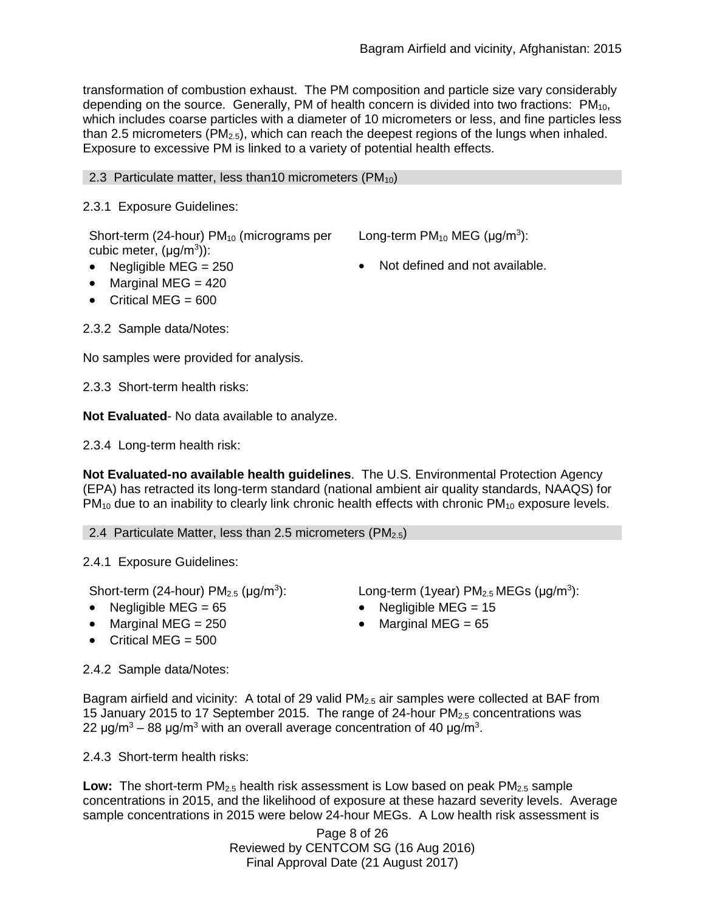transformation of combustion exhaust. The PM composition and particle size vary considerably depending on the source. Generally, PM of health concern is divided into two fractions:  $PM_{10}$ , which includes coarse particles with a diameter of 10 micrometers or less, and fine particles less than 2.5 micrometers ( $PM_{2.5}$ ), which can reach the deepest regions of the lungs when inhaled. Exposure to excessive PM is linked to a variety of potential health effects.

### 2.3 Particulate matter, less than 10 micrometers (PM $_{10}$ )

## 2.3.1 Exposure Guidelines:

Short-term (24-hour) PM<sub>10</sub> (micrograms per cubic meter,  $(\mu g/m^3)$ ):

- Negligible MEG =  $250$   $\bullet$  Not defined and not available.
- Long-term  $PM_{10}$  MEG ( $\mu$ g/m<sup>3</sup>):
- 
- Marginal MEG  $= 420$
- Critical MEG =  $600$

2.3.2 Sample data/Notes:

No samples were provided for analysis.

2.3.3 Short-term health risks:

**Not Evaluated**- No data available to analyze.

2.3.4 Long-term health risk:

**Not Evaluated-no available health guidelines**. The U.S. Environmental Protection Agency (EPA) has retracted its long-term standard (national ambient air quality standards, NAAQS) for  $PM_{10}$  due to an inability to clearly link chronic health effects with chronic  $PM_{10}$  exposure levels.

2.4 Particulate Matter, less than 2.5 micrometers ( $PM<sub>2.5</sub>$ )

2.4.1 Exposure Guidelines:

Short-term (24-hour)  $PM<sub>2.5</sub>$  ( $\mu$ g/m<sup>3</sup>):

- 
- 
- $\bullet$  Critical MEG = 500

2.4.2 Sample data/Notes:

): Long-term (1year)  $PM_{2.5}$  MEGs ( $\mu$ g/m<sup>3</sup>):

- Negligible MEG =  $65$  Negligible MEG =  $15$
- Marginal MEG = 250 Marginal MEG = 65

Bagram airfield and vicinity: A total of 29 valid  $PM<sub>2.5</sub>$  air samples were collected at BAF from 15 January 2015 to 17 September 2015. The range of 24-hour  $PM_{2.5}$  concentrations was 22 μg/m<sup>3</sup> – 88 μg/m<sup>3</sup> with an overall average concentration of 40 μg/m<sup>3</sup>.

2.4.3 Short-term health risks:

**Low:** The short-term PM<sub>2.5</sub> health risk assessment is Low based on peak PM<sub>2.5</sub> sample concentrations in 2015, and the likelihood of exposure at these hazard severity levels. Average sample concentrations in 2015 were below 24-hour MEGs. A Low health risk assessment is

> Page 8 of 26 Reviewed by CENTCOM SG (16 Aug 2016) Final Approval Date (21 August 2017)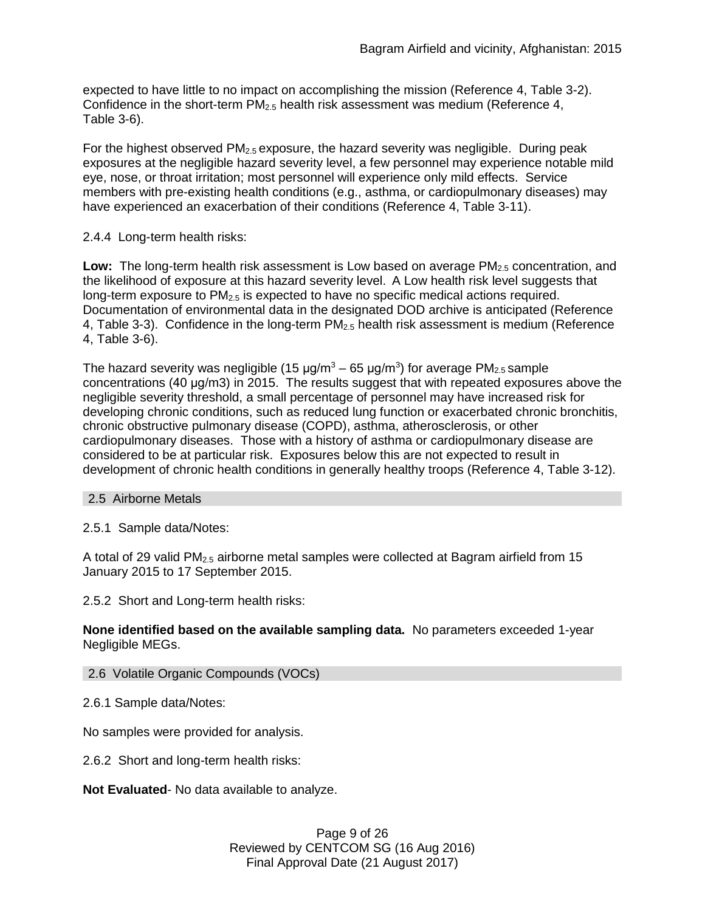expected to have little to no impact on accomplishing the mission (Reference 4, Table 3-2). Confidence in the short-term PM2.5 health risk assessment was medium (Reference 4, Table 3-6).

For the highest observed  $PM<sub>2.5</sub>$  exposure, the hazard severity was negligible. During peak exposures at the negligible hazard severity level, a few personnel may experience notable mild eye, nose, or throat irritation; most personnel will experience only mild effects. Service members with pre-existing health conditions (e.g., asthma, or cardiopulmonary diseases) may have experienced an exacerbation of their conditions (Reference 4, Table 3-11).

## 2.4.4 Long-term health risks:

Low: The long-term health risk assessment is Low based on average PM<sub>2.5</sub> concentration, and the likelihood of exposure at this hazard severity level. A Low health risk level suggests that long-term exposure to  $PM_{2.5}$  is expected to have no specific medical actions required. Documentation of environmental data in the designated DOD archive is anticipated (Reference 4. Table 3-3). Confidence in the long-term  $PM<sub>2.5</sub>$  health risk assessment is medium (Reference 4, Table 3-6).

The hazard severity was negligible (15  $\mu$ g/m<sup>3</sup> – 65  $\mu$ g/m<sup>3</sup>) for average PM<sub>2.5</sub> sample concentrations (40 μg/m3) in 2015. The results suggest that with repeated exposures above the negligible severity threshold, a small percentage of personnel may have increased risk for developing chronic conditions, such as reduced lung function or exacerbated chronic bronchitis, chronic obstructive pulmonary disease (COPD), asthma, atherosclerosis, or other cardiopulmonary diseases. Those with a history of asthma or cardiopulmonary disease are considered to be at particular risk. Exposures below this are not expected to result in development of chronic health conditions in generally healthy troops (Reference 4, Table 3-12).

## 2.5 Airborne Metals

2.5.1 Sample data/Notes:

A total of 29 valid PM2.5 airborne metal samples were collected at Bagram airfield from 15 January 2015 to 17 September 2015.

2.5.2 Short and Long-term health risks:

**None identified based on the available sampling data.** No parameters exceeded 1-year Negligible MEGs.

## 2.6 Volatile Organic Compounds (VOCs)

2.6.1 Sample data/Notes:

No samples were provided for analysis.

2.6.2 Short and long-term health risks:

**Not Evaluated**- No data available to analyze.

Page 9 of 26 Reviewed by CENTCOM SG (16 Aug 2016) Final Approval Date (21 August 2017)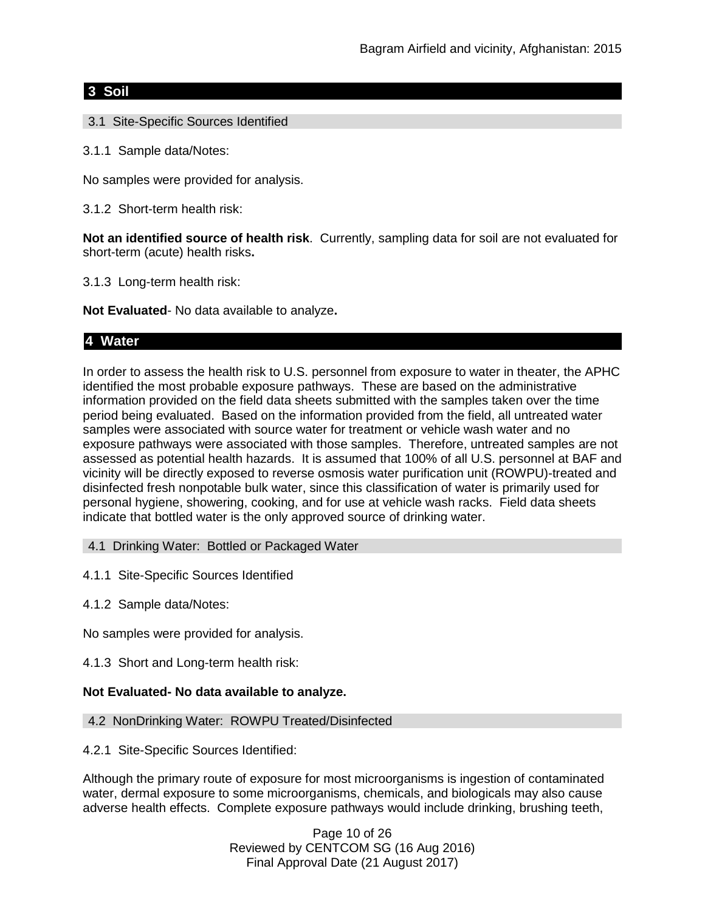## **3 Soil**

- 3.1 Site-Specific Sources Identified
- 3.1.1 Sample data/Notes:

No samples were provided for analysis.

3.1.2 Short-term health risk:

**Not an identified source of health risk**. Currently, sampling data for soil are not evaluated for short-term (acute) health risks**.**

3.1.3 Long-term health risk:

**Not Evaluated**- No data available to analyze**.**

## **4 Water**

In order to assess the health risk to U.S. personnel from exposure to water in theater, the APHC identified the most probable exposure pathways. These are based on the administrative information provided on the field data sheets submitted with the samples taken over the time period being evaluated. Based on the information provided from the field, all untreated water samples were associated with source water for treatment or vehicle wash water and no exposure pathways were associated with those samples. Therefore, untreated samples are not assessed as potential health hazards. It is assumed that 100% of all U.S. personnel at BAF and vicinity will be directly exposed to reverse osmosis water purification unit (ROWPU)-treated and disinfected fresh nonpotable bulk water, since this classification of water is primarily used for personal hygiene, showering, cooking, and for use at vehicle wash racks. Field data sheets indicate that bottled water is the only approved source of drinking water.

4.1 Drinking Water: Bottled or Packaged Water

4.1.1 Site-Specific Sources Identified

4.1.2 Sample data/Notes:

No samples were provided for analysis.

4.1.3 Short and Long-term health risk:

#### **Not Evaluated- No data available to analyze.**

### 4.2 NonDrinking Water: ROWPU Treated/Disinfected

4.2.1 Site-Specific Sources Identified:

Although the primary route of exposure for most microorganisms is ingestion of contaminated water, dermal exposure to some microorganisms, chemicals, and biologicals may also cause adverse health effects. Complete exposure pathways would include drinking, brushing teeth,

> Page 10 of 26 Reviewed by CENTCOM SG (16 Aug 2016) Final Approval Date (21 August 2017)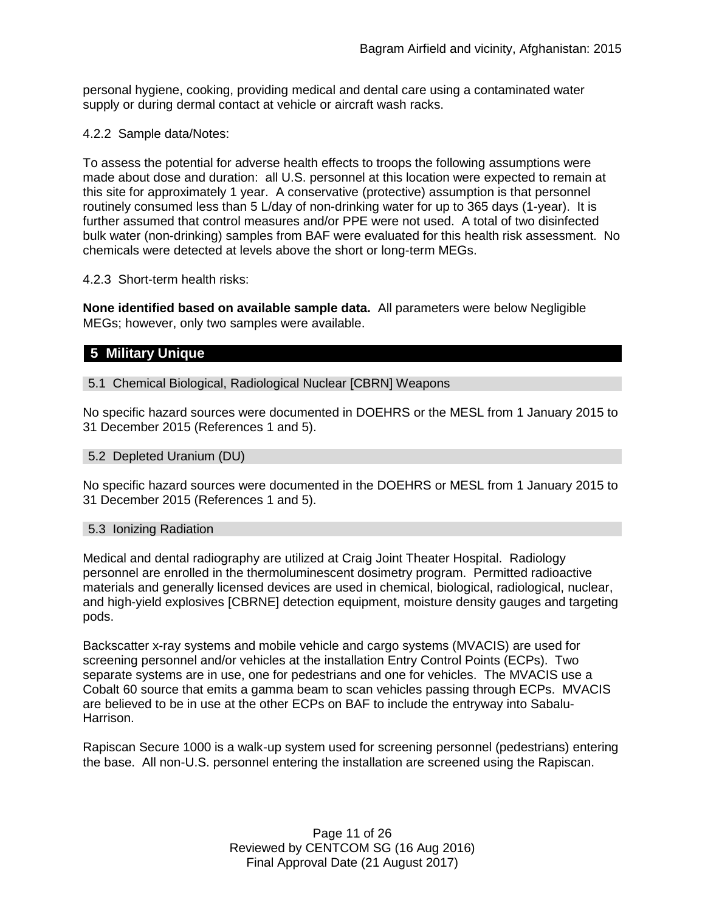personal hygiene, cooking, providing medical and dental care using a contaminated water supply or during dermal contact at vehicle or aircraft wash racks.

4.2.2 Sample data/Notes:

To assess the potential for adverse health effects to troops the following assumptions were made about dose and duration: all U.S. personnel at this location were expected to remain at this site for approximately 1 year. A conservative (protective) assumption is that personnel routinely consumed less than 5 L/day of non-drinking water for up to 365 days (1-year). It is further assumed that control measures and/or PPE were not used. A total of two disinfected bulk water (non-drinking) samples from BAF were evaluated for this health risk assessment. No chemicals were detected at levels above the short or long-term MEGs.

### 4.2.3 Short-term health risks:

**None identified based on available sample data.** All parameters were below Negligible MEGs; however, only two samples were available.

## **5 Military Unique**

## 5.1 Chemical Biological, Radiological Nuclear [CBRN] Weapons

No specific hazard sources were documented in DOEHRS or the MESL from 1 January 2015 to 31 December 2015 (References 1 and 5).

#### 5.2 Depleted Uranium (DU)

No specific hazard sources were documented in the DOEHRS or MESL from 1 January 2015 to 31 December 2015 (References 1 and 5).

#### 5.3 Ionizing Radiation

Medical and dental radiography are utilized at Craig Joint Theater Hospital. Radiology personnel are enrolled in the thermoluminescent dosimetry program. Permitted radioactive materials and generally licensed devices are used in chemical, biological, radiological, nuclear, and high-yield explosives [CBRNE] detection equipment, moisture density gauges and targeting pods.

Backscatter x-ray systems and mobile vehicle and cargo systems (MVACIS) are used for screening personnel and/or vehicles at the installation Entry Control Points (ECPs). Two separate systems are in use, one for pedestrians and one for vehicles. The MVACIS use a Cobalt 60 source that emits a gamma beam to scan vehicles passing through ECPs. MVACIS are believed to be in use at the other ECPs on BAF to include the entryway into Sabalu-Harrison.

Rapiscan Secure 1000 is a walk-up system used for screening personnel (pedestrians) entering the base. All non-U.S. personnel entering the installation are screened using the Rapiscan.

> Page 11 of 26 Reviewed by CENTCOM SG (16 Aug 2016) Final Approval Date (21 August 2017)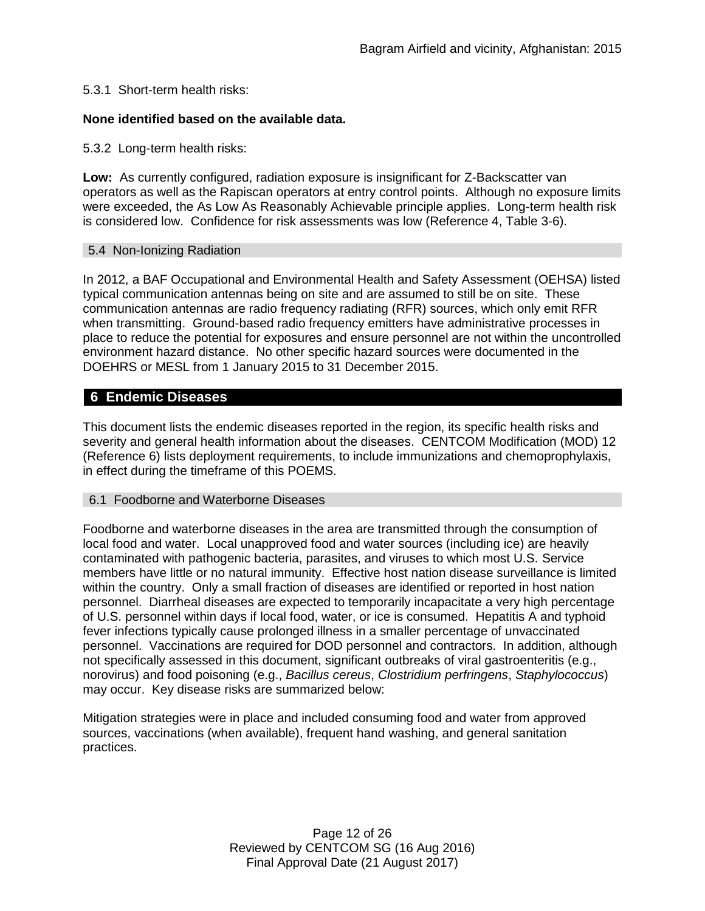### 5.3.1 Short-term health risks:

### **None identified based on the available data.**

#### 5.3.2 Long-term health risks:

**Low:** As currently configured, radiation exposure is insignificant for Z-Backscatter van operators as well as the Rapiscan operators at entry control points. Although no exposure limits were exceeded, the As Low As Reasonably Achievable principle applies. Long-term health risk is considered low. Confidence for risk assessments was low (Reference 4, Table 3-6).

#### 5.4 Non-Ionizing Radiation

In 2012, a BAF Occupational and Environmental Health and Safety Assessment (OEHSA) listed typical communication antennas being on site and are assumed to still be on site. These communication antennas are radio frequency radiating (RFR) sources, which only emit RFR when transmitting. Ground-based radio frequency emitters have administrative processes in place to reduce the potential for exposures and ensure personnel are not within the uncontrolled environment hazard distance. No other specific hazard sources were documented in the DOEHRS or MESL from 1 January 2015 to 31 December 2015.

## **6 Endemic Diseases**

This document lists the endemic diseases reported in the region, its specific health risks and severity and general health information about the diseases. CENTCOM Modification (MOD) 12 (Reference 6) lists deployment requirements, to include immunizations and chemoprophylaxis, in effect during the timeframe of this POEMS.

#### 6.1 Foodborne and Waterborne Diseases

Foodborne and waterborne diseases in the area are transmitted through the consumption of local food and water. Local unapproved food and water sources (including ice) are heavily contaminated with pathogenic bacteria, parasites, and viruses to which most U.S. Service members have little or no natural immunity. Effective host nation disease surveillance is limited within the country. Only a small fraction of diseases are identified or reported in host nation personnel. Diarrheal diseases are expected to temporarily incapacitate a very high percentage of U.S. personnel within days if local food, water, or ice is consumed. Hepatitis A and typhoid fever infections typically cause prolonged illness in a smaller percentage of unvaccinated personnel. Vaccinations are required for DOD personnel and contractors. In addition, although not specifically assessed in this document, significant outbreaks of viral gastroenteritis (e.g., norovirus) and food poisoning (e.g., *Bacillus cereus*, *Clostridium perfringens*, *Staphylococcus*) may occur. Key disease risks are summarized below:

Mitigation strategies were in place and included consuming food and water from approved sources, vaccinations (when available), frequent hand washing, and general sanitation practices.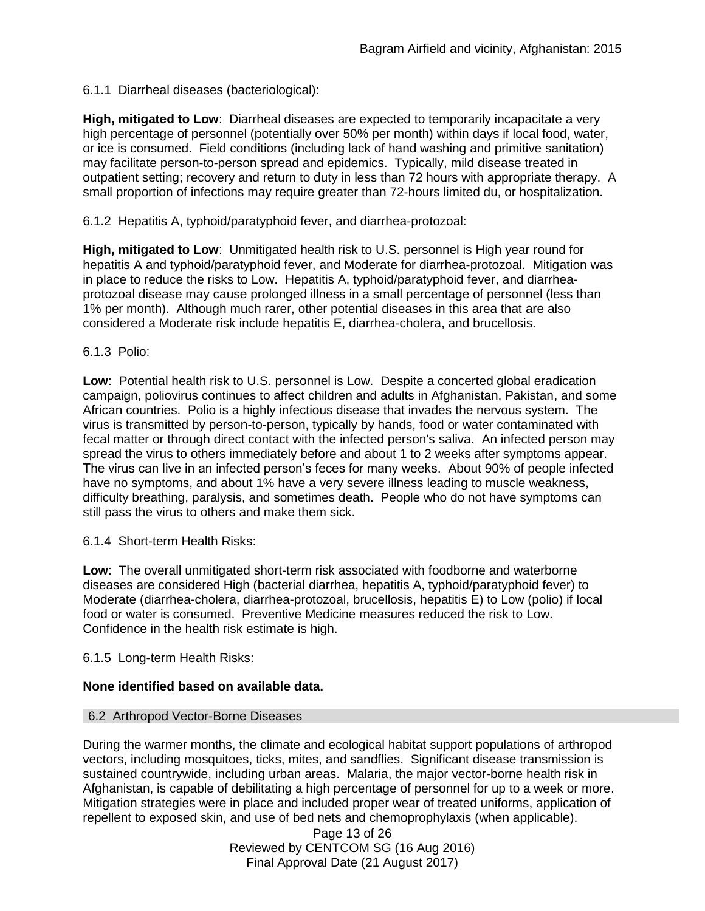## 6.1.1 Diarrheal diseases (bacteriological):

**High, mitigated to Low**: Diarrheal diseases are expected to temporarily incapacitate a very high percentage of personnel (potentially over 50% per month) within days if local food, water, or ice is consumed. Field conditions (including lack of hand washing and primitive sanitation) may facilitate person-to-person spread and epidemics. Typically, mild disease treated in outpatient setting; recovery and return to duty in less than 72 hours with appropriate therapy. A small proportion of infections may require greater than 72-hours limited du, or hospitalization.

6.1.2 Hepatitis A, typhoid/paratyphoid fever, and diarrhea-protozoal:

**High, mitigated to Low**: Unmitigated health risk to U.S. personnel is High year round for hepatitis A and typhoid/paratyphoid fever, and Moderate for diarrhea-protozoal. Mitigation was in place to reduce the risks to Low. Hepatitis A, typhoid/paratyphoid fever, and diarrheaprotozoal disease may cause prolonged illness in a small percentage of personnel (less than 1% per month). Although much rarer, other potential diseases in this area that are also considered a Moderate risk include hepatitis E, diarrhea-cholera, and brucellosis.

## 6.1.3 Polio:

**Low**: Potential health risk to U.S. personnel is Low. Despite a concerted global eradication campaign, poliovirus continues to affect children and adults in Afghanistan, Pakistan, and some African countries. Polio is a highly infectious disease that invades the nervous system. The virus is transmitted by person-to-person, typically by hands, food or water contaminated with fecal matter or through direct contact with the infected person's saliva. An infected person may spread the virus to others immediately before and about 1 to 2 weeks after symptoms appear. The virus can live in an infected person's feces for many weeks. About 90% of people infected have no symptoms, and about 1% have a very severe illness leading to muscle weakness, difficulty breathing, paralysis, and sometimes death. People who do not have symptoms can still pass the virus to others and make them sick.

6.1.4 Short-term Health Risks:

**Low**: The overall unmitigated short-term risk associated with foodborne and waterborne diseases are considered High (bacterial diarrhea, hepatitis A, typhoid/paratyphoid fever) to Moderate (diarrhea-cholera, diarrhea-protozoal, brucellosis, hepatitis E) to Low (polio) if local food or water is consumed. Preventive Medicine measures reduced the risk to Low. Confidence in the health risk estimate is high.

6.1.5 Long-term Health Risks:

## **None identified based on available data.**

## 6.2 Arthropod Vector-Borne Diseases

During the warmer months, the climate and ecological habitat support populations of arthropod vectors, including mosquitoes, ticks, mites, and sandflies. Significant disease transmission is sustained countrywide, including urban areas. Malaria, the major vector-borne health risk in Afghanistan, is capable of debilitating a high percentage of personnel for up to a week or more. Mitigation strategies were in place and included proper wear of treated uniforms, application of repellent to exposed skin, and use of bed nets and chemoprophylaxis (when applicable).

> Page 13 of 26 Reviewed by CENTCOM SG (16 Aug 2016) Final Approval Date (21 August 2017)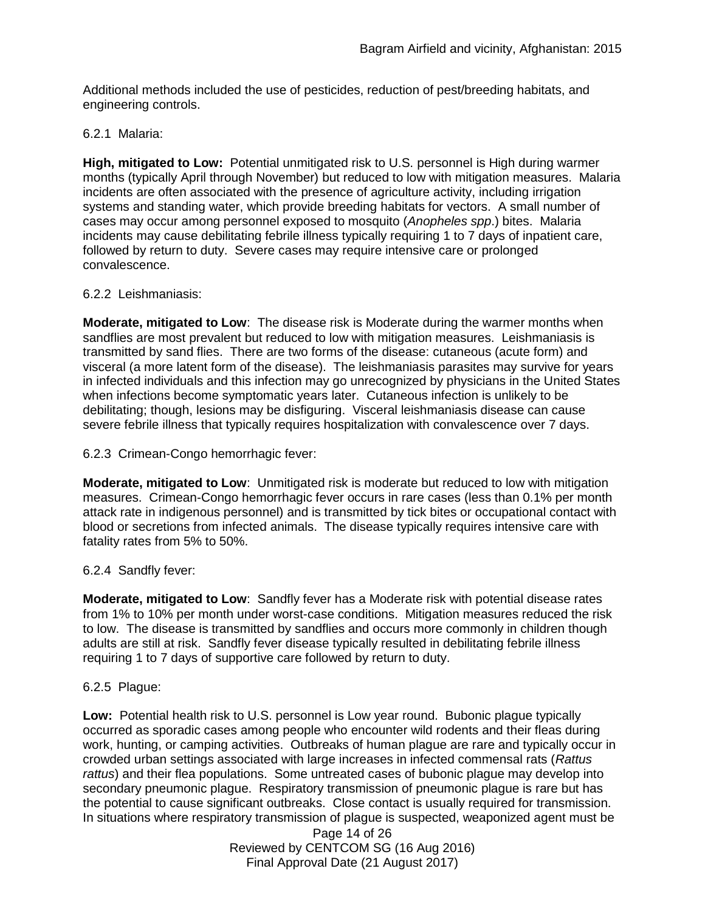Additional methods included the use of pesticides, reduction of pest/breeding habitats, and engineering controls.

### 6.2.1 Malaria:

**High, mitigated to Low:** Potential unmitigated risk to U.S. personnel is High during warmer months (typically April through November) but reduced to low with mitigation measures. Malaria incidents are often associated with the presence of agriculture activity, including irrigation systems and standing water, which provide breeding habitats for vectors. A small number of cases may occur among personnel exposed to mosquito (*Anopheles spp*.) bites. Malaria incidents may cause debilitating febrile illness typically requiring 1 to 7 days of inpatient care, followed by return to duty. Severe cases may require intensive care or prolonged convalescence.

### 6.2.2 Leishmaniasis:

**Moderate, mitigated to Low**: The disease risk is Moderate during the warmer months when sandflies are most prevalent but reduced to low with mitigation measures. Leishmaniasis is transmitted by sand flies. There are two forms of the disease: cutaneous (acute form) and visceral (a more latent form of the disease). The leishmaniasis parasites may survive for years in infected individuals and this infection may go unrecognized by physicians in the United States when infections become symptomatic years later. Cutaneous infection is unlikely to be debilitating; though, lesions may be disfiguring. Visceral leishmaniasis disease can cause severe febrile illness that typically requires hospitalization with convalescence over 7 days.

6.2.3 Crimean-Congo hemorrhagic fever:

**Moderate, mitigated to Low**: Unmitigated risk is moderate but reduced to low with mitigation measures. Crimean-Congo hemorrhagic fever occurs in rare cases (less than 0.1% per month attack rate in indigenous personnel) and is transmitted by tick bites or occupational contact with blood or secretions from infected animals. The disease typically requires intensive care with fatality rates from 5% to 50%.

## 6.2.4 Sandfly fever:

**Moderate, mitigated to Low**: Sandfly fever has a Moderate risk with potential disease rates from 1% to 10% per month under worst-case conditions. Mitigation measures reduced the risk to low. The disease is transmitted by sandflies and occurs more commonly in children though adults are still at risk. Sandfly fever disease typically resulted in debilitating febrile illness requiring 1 to 7 days of supportive care followed by return to duty.

6.2.5 Plague:

**Low:** Potential health risk to U.S. personnel is Low year round. Bubonic plague typically occurred as sporadic cases among people who encounter wild rodents and their fleas during work, hunting, or camping activities. Outbreaks of human plague are rare and typically occur in crowded urban settings associated with large increases in infected commensal rats (*Rattus rattus*) and their flea populations. Some untreated cases of bubonic plague may develop into secondary pneumonic plague. Respiratory transmission of pneumonic plague is rare but has the potential to cause significant outbreaks. Close contact is usually required for transmission. In situations where respiratory transmission of plague is suspected, weaponized agent must be

> Page 14 of 26 Reviewed by CENTCOM SG (16 Aug 2016) Final Approval Date (21 August 2017)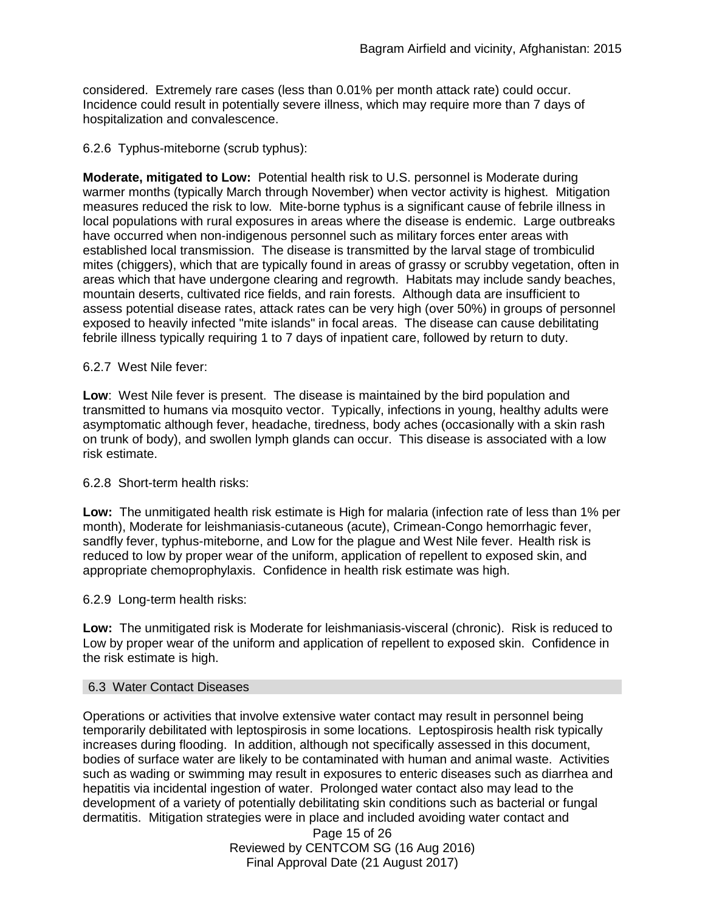considered. Extremely rare cases (less than 0.01% per month attack rate) could occur. Incidence could result in potentially severe illness, which may require more than 7 days of hospitalization and convalescence.

## 6.2.6 Typhus-miteborne (scrub typhus):

**Moderate, mitigated to Low:** Potential health risk to U.S. personnel is Moderate during warmer months (typically March through November) when vector activity is highest. Mitigation measures reduced the risk to low. Mite-borne typhus is a significant cause of febrile illness in local populations with rural exposures in areas where the disease is endemic. Large outbreaks have occurred when non-indigenous personnel such as military forces enter areas with established local transmission. The disease is transmitted by the larval stage of trombiculid mites (chiggers), which that are typically found in areas of grassy or scrubby vegetation, often in areas which that have undergone clearing and regrowth. Habitats may include sandy beaches, mountain deserts, cultivated rice fields, and rain forests. Although data are insufficient to assess potential disease rates, attack rates can be very high (over 50%) in groups of personnel exposed to heavily infected "mite islands" in focal areas. The disease can cause debilitating febrile illness typically requiring 1 to 7 days of inpatient care, followed by return to duty.

## 6.2.7 West Nile fever:

**Low**: West Nile fever is present. The disease is maintained by the bird population and transmitted to humans via mosquito vector. Typically, infections in young, healthy adults were asymptomatic although fever, headache, tiredness, body aches (occasionally with a skin rash on trunk of body), and swollen lymph glands can occur. This disease is associated with a low risk estimate.

## 6.2.8 Short-term health risks:

**Low:** The unmitigated health risk estimate is High for malaria (infection rate of less than 1% per month), Moderate for leishmaniasis-cutaneous (acute), Crimean-Congo hemorrhagic fever, sandfly fever, typhus-miteborne, and Low for the plague and West Nile fever. Health risk is reduced to low by proper wear of the uniform, application of repellent to exposed skin, and appropriate chemoprophylaxis. Confidence in health risk estimate was high.

## 6.2.9 Long-term health risks:

**Low:** The unmitigated risk is Moderate for leishmaniasis-visceral (chronic). Risk is reduced to Low by proper wear of the uniform and application of repellent to exposed skin. Confidence in the risk estimate is high.

#### 6.3 Water Contact Diseases

Operations or activities that involve extensive water contact may result in personnel being temporarily debilitated with leptospirosis in some locations. Leptospirosis health risk typically increases during flooding. In addition, although not specifically assessed in this document, bodies of surface water are likely to be contaminated with human and animal waste. Activities such as wading or swimming may result in exposures to enteric diseases such as diarrhea and hepatitis via incidental ingestion of water. Prolonged water contact also may lead to the development of a variety of potentially debilitating skin conditions such as bacterial or fungal dermatitis. Mitigation strategies were in place and included avoiding water contact and

> Page 15 of 26 Reviewed by CENTCOM SG (16 Aug 2016) Final Approval Date (21 August 2017)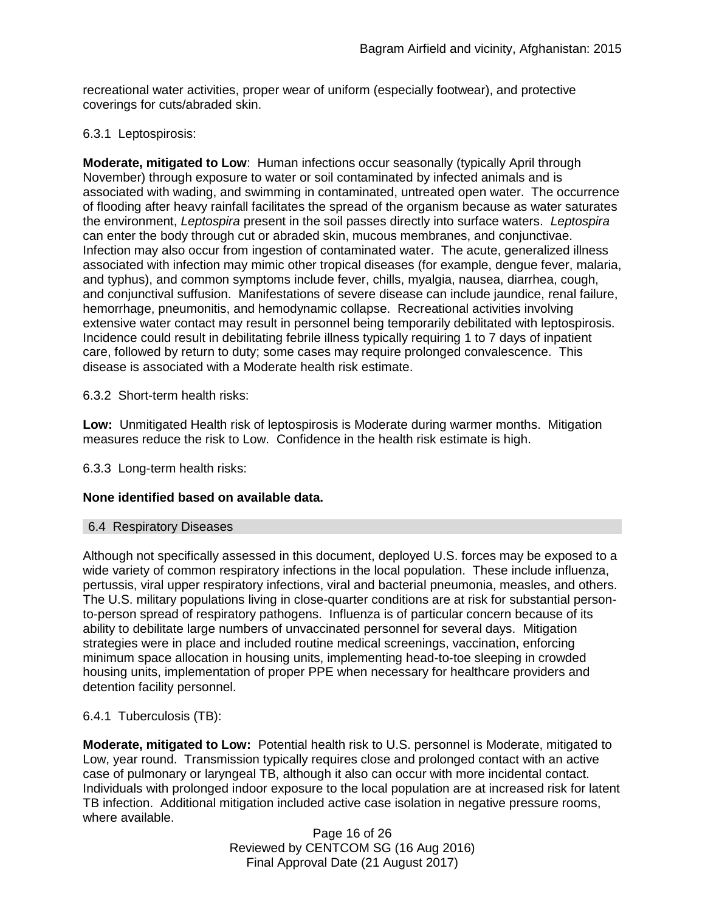recreational water activities, proper wear of uniform (especially footwear), and protective coverings for cuts/abraded skin.

## 6.3.1 Leptospirosis:

**Moderate, mitigated to Low**: Human infections occur seasonally (typically April through November) through exposure to water or soil contaminated by infected animals and is associated with wading, and swimming in contaminated, untreated open water. The occurrence of flooding after heavy rainfall facilitates the spread of the organism because as water saturates the environment, *Leptospira* present in the soil passes directly into surface waters. *Leptospira* can enter the body through cut or abraded skin, mucous membranes, and conjunctivae. Infection may also occur from ingestion of contaminated water. The acute, generalized illness associated with infection may mimic other tropical diseases (for example, dengue fever, malaria, and typhus), and common symptoms include fever, chills, myalgia, nausea, diarrhea, cough, and conjunctival suffusion. Manifestations of severe disease can include jaundice, renal failure, hemorrhage, pneumonitis, and hemodynamic collapse. Recreational activities involving extensive water contact may result in personnel being temporarily debilitated with leptospirosis. Incidence could result in debilitating febrile illness typically requiring 1 to 7 days of inpatient care, followed by return to duty; some cases may require prolonged convalescence. This disease is associated with a Moderate health risk estimate.

6.3.2 Short-term health risks:

**Low:** Unmitigated Health risk of leptospirosis is Moderate during warmer months. Mitigation measures reduce the risk to Low. Confidence in the health risk estimate is high.

6.3.3 Long-term health risks:

## **None identified based on available data.**

#### 6.4 Respiratory Diseases

Although not specifically assessed in this document, deployed U.S. forces may be exposed to a wide variety of common respiratory infections in the local population. These include influenza, pertussis, viral upper respiratory infections, viral and bacterial pneumonia, measles, and others. The U.S. military populations living in close-quarter conditions are at risk for substantial personto-person spread of respiratory pathogens. Influenza is of particular concern because of its ability to debilitate large numbers of unvaccinated personnel for several days. Mitigation strategies were in place and included routine medical screenings, vaccination, enforcing minimum space allocation in housing units, implementing head-to-toe sleeping in crowded housing units, implementation of proper PPE when necessary for healthcare providers and detention facility personnel.

## 6.4.1 Tuberculosis (TB):

**Moderate, mitigated to Low:** Potential health risk to U.S. personnel is Moderate, mitigated to Low, year round. Transmission typically requires close and prolonged contact with an active case of pulmonary or laryngeal TB, although it also can occur with more incidental contact. Individuals with prolonged indoor exposure to the local population are at increased risk for latent TB infection. Additional mitigation included active case isolation in negative pressure rooms, where available.

> Page 16 of 26 Reviewed by CENTCOM SG (16 Aug 2016) Final Approval Date (21 August 2017)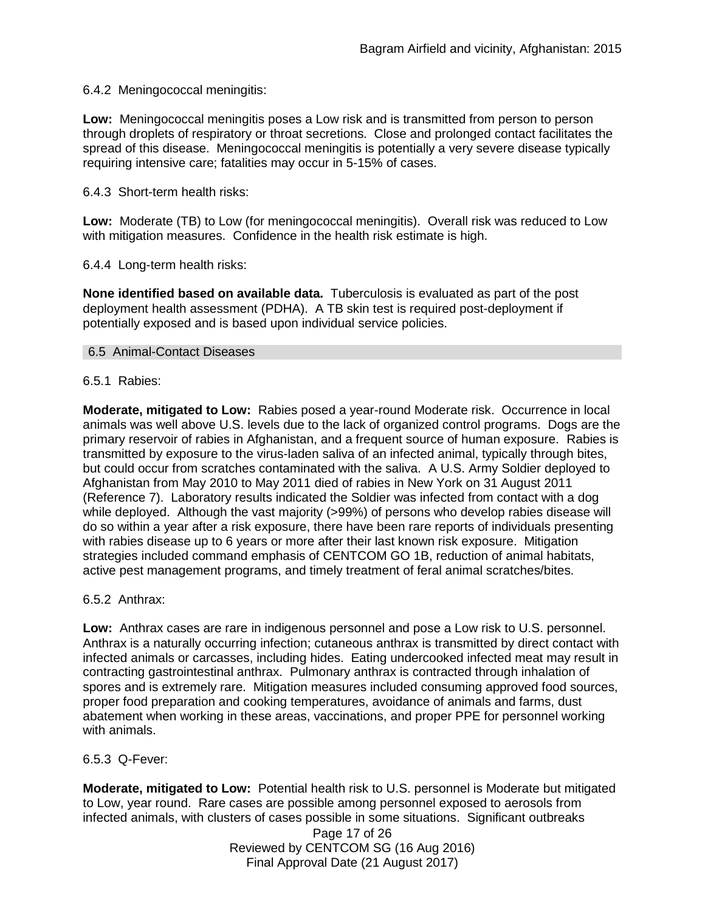### 6.4.2 Meningococcal meningitis:

**Low:** Meningococcal meningitis poses a Low risk and is transmitted from person to person through droplets of respiratory or throat secretions. Close and prolonged contact facilitates the spread of this disease. Meningococcal meningitis is potentially a very severe disease typically requiring intensive care; fatalities may occur in 5-15% of cases.

6.4.3 Short-term health risks:

**Low:** Moderate (TB) to Low (for meningococcal meningitis). Overall risk was reduced to Low with mitigation measures. Confidence in the health risk estimate is high.

6.4.4 Long-term health risks:

**None identified based on available data.** Tuberculosis is evaluated as part of the post deployment health assessment (PDHA). A TB skin test is required post-deployment if potentially exposed and is based upon individual service policies.

#### 6.5 Animal-Contact Diseases

6.5.1 Rabies:

**Moderate, mitigated to Low:** Rabies posed a year-round Moderate risk. Occurrence in local animals was well above U.S. levels due to the lack of organized control programs. Dogs are the primary reservoir of rabies in Afghanistan, and a frequent source of human exposure. Rabies is transmitted by exposure to the virus-laden saliva of an infected animal, typically through bites, but could occur from scratches contaminated with the saliva. A U.S. Army Soldier deployed to Afghanistan from May 2010 to May 2011 died of rabies in New York on 31 August 2011 (Reference 7). Laboratory results indicated the Soldier was infected from contact with a dog while deployed. Although the vast majority (>99%) of persons who develop rabies disease will do so within a year after a risk exposure, there have been rare reports of individuals presenting with rabies disease up to 6 years or more after their last known risk exposure. Mitigation strategies included command emphasis of CENTCOM GO 1B, reduction of animal habitats, active pest management programs, and timely treatment of feral animal scratches/bites.

6.5.2 Anthrax:

**Low:** Anthrax cases are rare in indigenous personnel and pose a Low risk to U.S. personnel. Anthrax is a naturally occurring infection; cutaneous anthrax is transmitted by direct contact with infected animals or carcasses, including hides. Eating undercooked infected meat may result in contracting gastrointestinal anthrax. Pulmonary anthrax is contracted through inhalation of spores and is extremely rare. Mitigation measures included consuming approved food sources, proper food preparation and cooking temperatures, avoidance of animals and farms, dust abatement when working in these areas, vaccinations, and proper PPE for personnel working with animals.

6.5.3 Q-Fever:

**Moderate, mitigated to Low:** Potential health risk to U.S. personnel is Moderate but mitigated to Low, year round. Rare cases are possible among personnel exposed to aerosols from infected animals, with clusters of cases possible in some situations. Significant outbreaks

Page 17 of 26 Reviewed by CENTCOM SG (16 Aug 2016) Final Approval Date (21 August 2017)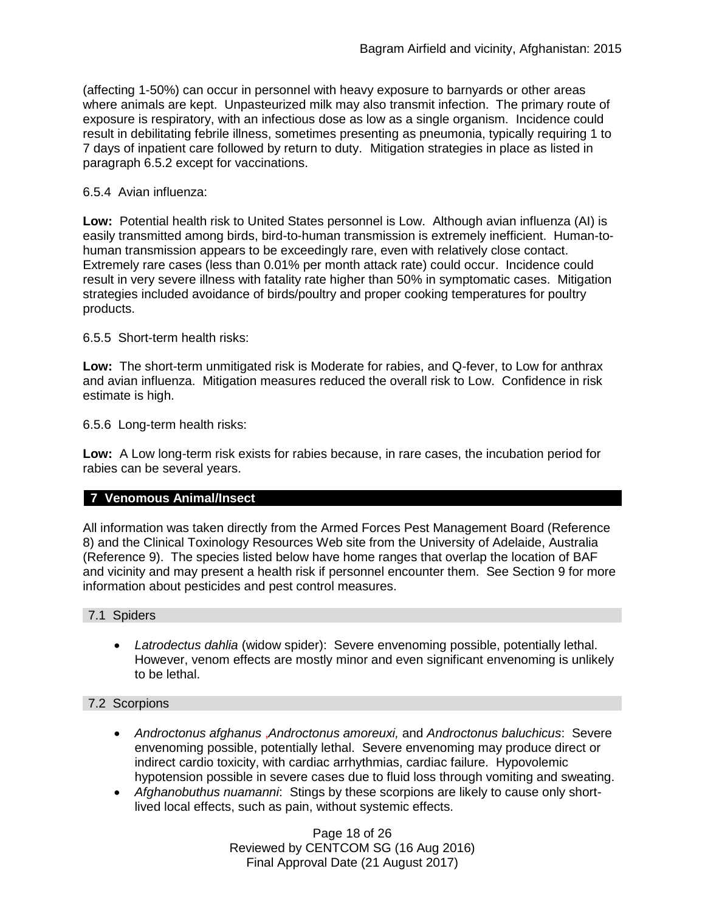(affecting 1-50%) can occur in personnel with heavy exposure to barnyards or other areas where animals are kept. Unpasteurized milk may also transmit infection. The primary route of exposure is respiratory, with an infectious dose as low as a single organism. Incidence could result in debilitating febrile illness, sometimes presenting as pneumonia, typically requiring 1 to 7 days of inpatient care followed by return to duty. Mitigation strategies in place as listed in paragraph 6.5.2 except for vaccinations.

## 6.5.4 Avian influenza:

**Low:** Potential health risk to United States personnel is Low. Although avian influenza (AI) is easily transmitted among birds, bird-to-human transmission is extremely inefficient. Human-tohuman transmission appears to be exceedingly rare, even with relatively close contact. Extremely rare cases (less than 0.01% per month attack rate) could occur. Incidence could result in very severe illness with fatality rate higher than 50% in symptomatic cases. Mitigation strategies included avoidance of birds/poultry and proper cooking temperatures for poultry products.

6.5.5 Short-term health risks:

**Low:** The short-term unmitigated risk is Moderate for rabies, and Q-fever, to Low for anthrax and avian influenza. Mitigation measures reduced the overall risk to Low.Confidence in risk estimate is high.

6.5.6 Long-term health risks:

**Low:** A Low long-term risk exists for rabies because, in rare cases, the incubation period for rabies can be several years.

## **7 Venomous Animal/Insect**

All information was taken directly from the Armed Forces Pest Management Board (Reference 8) and the Clinical Toxinology Resources Web site from the University of Adelaide, Australia (Reference 9). The species listed below have home ranges that overlap the location of BAF and vicinity and may present a health risk if personnel encounter them. See Section 9 for more information about pesticides and pest control measures.

7.1 Spiders

 *Latrodectus dahlia* (widow spider): Severe envenoming possible, potentially lethal. However, venom effects are mostly minor and even significant envenoming is unlikely to be lethal.

### 7.2 Scorpions

- *Androctonus afghanus* ,*Androctonus amoreuxi,* and *Androctonus baluchicus*: Severe envenoming possible, potentially lethal. Severe envenoming may produce direct or indirect cardio toxicity, with cardiac arrhythmias, cardiac failure. Hypovolemic hypotension possible in severe cases due to fluid loss through vomiting and sweating.
- *Afghanobuthus nuamanni*: Stings by these scorpions are likely to cause only shortlived local effects, such as pain, without systemic effects.

Page 18 of 26 Reviewed by CENTCOM SG (16 Aug 2016) Final Approval Date (21 August 2017)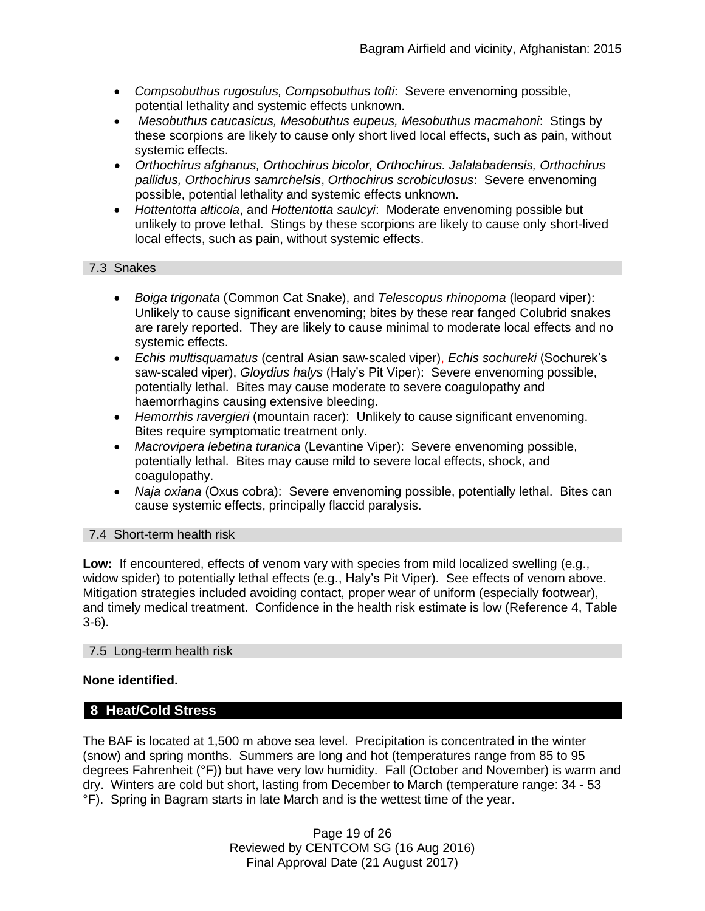- *Compsobuthus rugosulus, Compsobuthus tofti*: Severe envenoming possible, potential lethality and systemic effects unknown.
- *Mesobuthus caucasicus, Mesobuthus eupeus, Mesobuthus macmahoni*: Stings by these scorpions are likely to cause only short lived local effects, such as pain, without systemic effects.
- *Orthochirus afghanus, Orthochirus bicolor, Orthochirus. Jalalabadensis, Orthochirus pallidus, Orthochirus samrchelsis*, *Orthochirus scrobiculosus*: Severe envenoming possible, potential lethality and systemic effects unknown.
- *Hottentotta alticola*, and *Hottentotta saulcyi*: Moderate envenoming possible but unlikely to prove lethal. Stings by these scorpions are likely to cause only short-lived local effects, such as pain, without systemic effects.

### 7.3 Snakes

- *[Boiga](http://www.toxinology.com/fusebox.cfm?fuseaction=main.snakes.display&id=SN0722) [trigonata](http://www.toxinology.com/fusebox.cfm?fuseaction=main.snakes.display&id=SN0722)* (Common Cat Snake), and *Telescopus rhinopoma* (leopard viper): Unlikely to cause significant envenoming; bites by these rear fanged Colubrid snakes are rarely reported. They are likely to cause minimal to moderate local effects and no systemic effects.
- *Echis multisquamatus* (central Asian saw-scaled viper), *Echis sochureki* (Sochurek's saw-scaled viper), *Gloydius halys* (Haly's Pit Viper): Severe envenoming possible, potentially lethal. Bites may cause moderate to severe coagulopathy and haemorrhagins causing extensive bleeding.
- *Hemorrhis ravergieri* (mountain racer): Unlikely to cause significant envenoming. Bites require symptomatic treatment only.
- *Macrovipera lebetina turanica* (Levantine Viper): Severe envenoming possible, potentially lethal. Bites may cause mild to severe local effects, shock, and coagulopathy.
- *Naja oxiana* (Oxus cobra): Severe envenoming possible, potentially lethal. Bites can cause systemic effects, principally flaccid paralysis.

## 7.4 Short-term health risk

**Low:** If encountered, effects of venom vary with species from mild localized swelling (e.g., widow spider) to potentially lethal effects (e.g., Haly's Pit Viper). See effects of venom above. Mitigation strategies included avoiding contact, proper wear of uniform (especially footwear), and timely medical treatment. Confidence in the health risk estimate is low (Reference 4, Table 3-6).

#### 7.5 Long-term health risk

## **None identified.**

## **8 Heat/Cold Stress**

The BAF is located at 1,500 m above sea level. Precipitation is concentrated in the winter (snow) and spring months. Summers are long and hot (temperatures range from 85 to 95 degrees Fahrenheit (°F)) but have very low humidity. Fall (October and November) is warm and dry. Winters are cold but short, lasting from December to March (temperature range: 34 - 53 °F). Spring in Bagram starts in late March and is the wettest time of the year.

> Page 19 of 26 Reviewed by CENTCOM SG (16 Aug 2016) Final Approval Date (21 August 2017)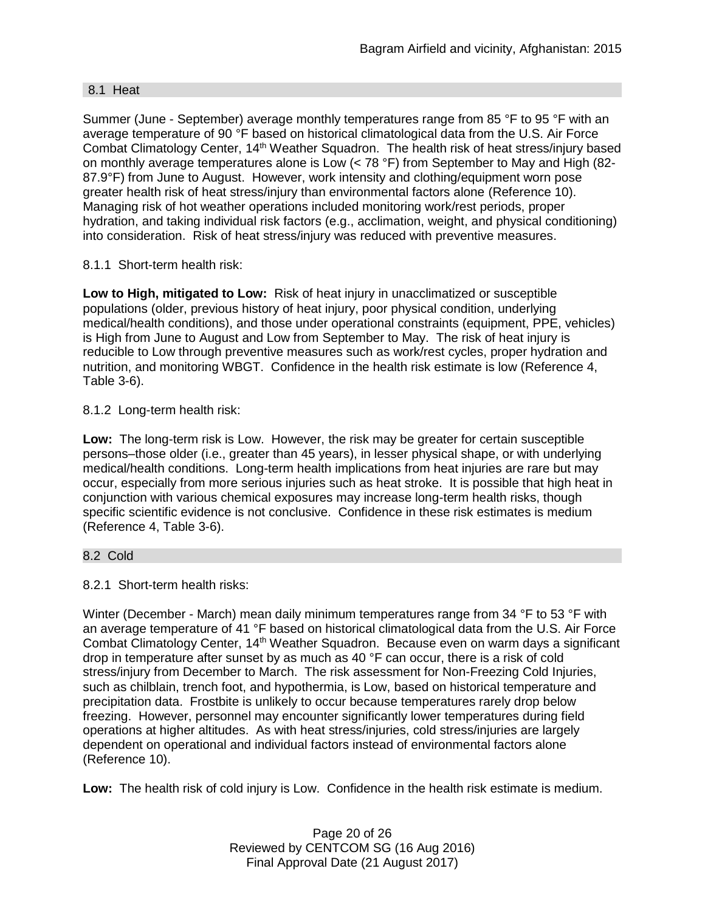#### 8.1 Heat

Summer (June - September) average monthly temperatures range from 85 °F to 95 °F with an average temperature of 90 °F based on historical climatological data from the U.S. Air Force Combat Climatology Center, 14<sup>th</sup> Weather Squadron. The health risk of heat stress/injury based on monthly average temperatures alone is Low (< 78 °F) from September to May and High (82- 87.9°F) from June to August. However, work intensity and clothing/equipment worn pose greater health risk of heat stress/injury than environmental factors alone (Reference 10). Managing risk of hot weather operations included monitoring work/rest periods, proper hydration, and taking individual risk factors (e.g., acclimation, weight, and physical conditioning) into consideration. Risk of heat stress/injury was reduced with preventive measures.

## 8.1.1 Short-term health risk:

**Low to High, mitigated to Low:** Risk of heat injury in unacclimatized or susceptible populations (older, previous history of heat injury, poor physical condition, underlying medical/health conditions), and those under operational constraints (equipment, PPE, vehicles) is High from June to August and Low from September to May. The risk of heat injury is reducible to Low through preventive measures such as work/rest cycles, proper hydration and nutrition, and monitoring WBGT. Confidence in the health risk estimate is low (Reference 4, Table 3-6).

## 8.1.2 Long-term health risk:

**Low:** The long-term risk is Low. However, the risk may be greater for certain susceptible persons–those older (i.e., greater than 45 years), in lesser physical shape, or with underlying medical/health conditions. Long-term health implications from heat injuries are rare but may occur, especially from more serious injuries such as heat stroke. It is possible that high heat in conjunction with various chemical exposures may increase long-term health risks, though specific scientific evidence is not conclusive. Confidence in these risk estimates is medium (Reference 4, Table 3-6).

#### 8.2 Cold

8.2.1 Short-term health risks:

Winter (December - March) mean daily minimum temperatures range from 34 °F to 53 °F with an average temperature of 41 °F based on historical climatological data from the U.S. Air Force Combat Climatology Center, 14<sup>th</sup> Weather Squadron. Because even on warm days a significant drop in temperature after sunset by as much as 40 °F can occur, there is a risk of cold stress/injury from December to March. The risk assessment for Non-Freezing Cold Injuries, such as chilblain, trench foot, and hypothermia, is Low, based on historical temperature and precipitation data. Frostbite is unlikely to occur because temperatures rarely drop below freezing. However, personnel may encounter significantly lower temperatures during field operations at higher altitudes. As with heat stress/injuries, cold stress/injuries are largely dependent on operational and individual factors instead of environmental factors alone (Reference 10).

**Low:** The health risk of cold injury is Low. Confidence in the health risk estimate is medium.

Page 20 of 26 Reviewed by CENTCOM SG (16 Aug 2016) Final Approval Date (21 August 2017)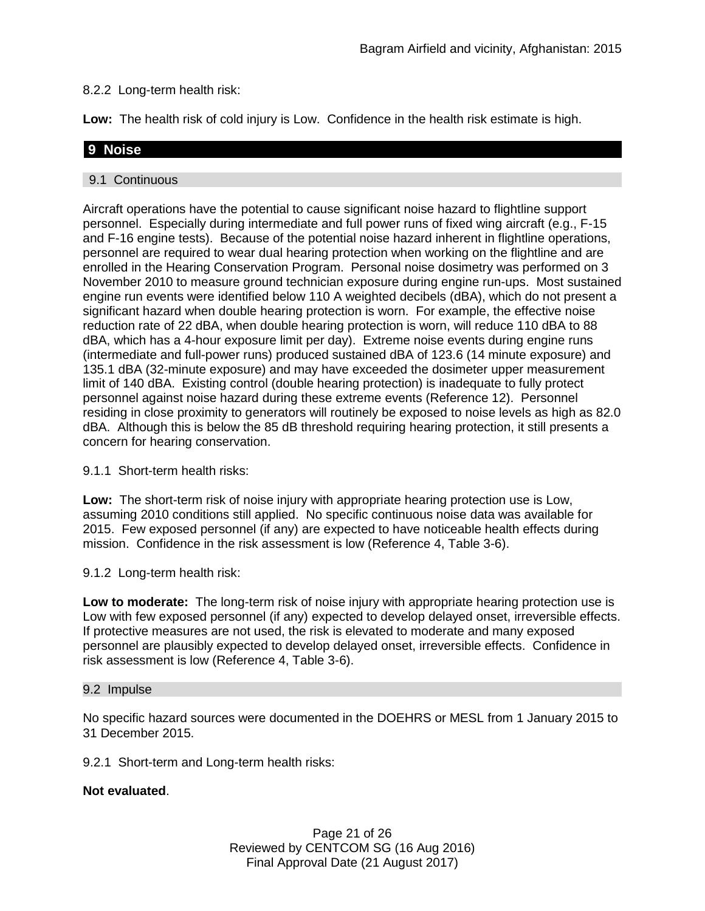## 8.2.2 Long-term health risk:

**Low:** The health risk of cold injury is Low. Confidence in the health risk estimate is high.

## **9 Noise**

### 9.1 Continuous

Aircraft operations have the potential to cause significant noise hazard to flightline support personnel. Especially during intermediate and full power runs of fixed wing aircraft (e.g., F-15 and F-16 engine tests). Because of the potential noise hazard inherent in flightline operations, personnel are required to wear dual hearing protection when working on the flightline and are enrolled in the Hearing Conservation Program. Personal noise dosimetry was performed on 3 November 2010 to measure ground technician exposure during engine run-ups. Most sustained engine run events were identified below 110 A weighted decibels (dBA), which do not present a significant hazard when double hearing protection is worn. For example, the effective noise reduction rate of 22 dBA, when double hearing protection is worn, will reduce 110 dBA to 88 dBA, which has a 4-hour exposure limit per day). Extreme noise events during engine runs (intermediate and full-power runs) produced sustained dBA of 123.6 (14 minute exposure) and 135.1 dBA (32-minute exposure) and may have exceeded the dosimeter upper measurement limit of 140 dBA. Existing control (double hearing protection) is inadequate to fully protect personnel against noise hazard during these extreme events (Reference 12). Personnel residing in close proximity to generators will routinely be exposed to noise levels as high as 82.0 dBA. Although this is below the 85 dB threshold requiring hearing protection, it still presents a concern for hearing conservation.

9.1.1 Short-term health risks:

**Low:** The short-term risk of noise injury with appropriate hearing protection use is Low, assuming 2010 conditions still applied. No specific continuous noise data was available for 2015. Few exposed personnel (if any) are expected to have noticeable health effects during mission. Confidence in the risk assessment is low (Reference 4, Table 3-6).

9.1.2 Long-term health risk:

**Low to moderate:** The long-term risk of noise injury with appropriate hearing protection use is Low with few exposed personnel (if any) expected to develop delayed onset, irreversible effects. If protective measures are not used, the risk is elevated to moderate and many exposed personnel are plausibly expected to develop delayed onset, irreversible effects. Confidence in risk assessment is low (Reference 4, Table 3-6).

#### 9.2 Impulse

No specific hazard sources were documented in the DOEHRS or MESL from 1 January 2015 to 31 December 2015.

9.2.1 Short-term and Long-term health risks:

## **Not evaluated**.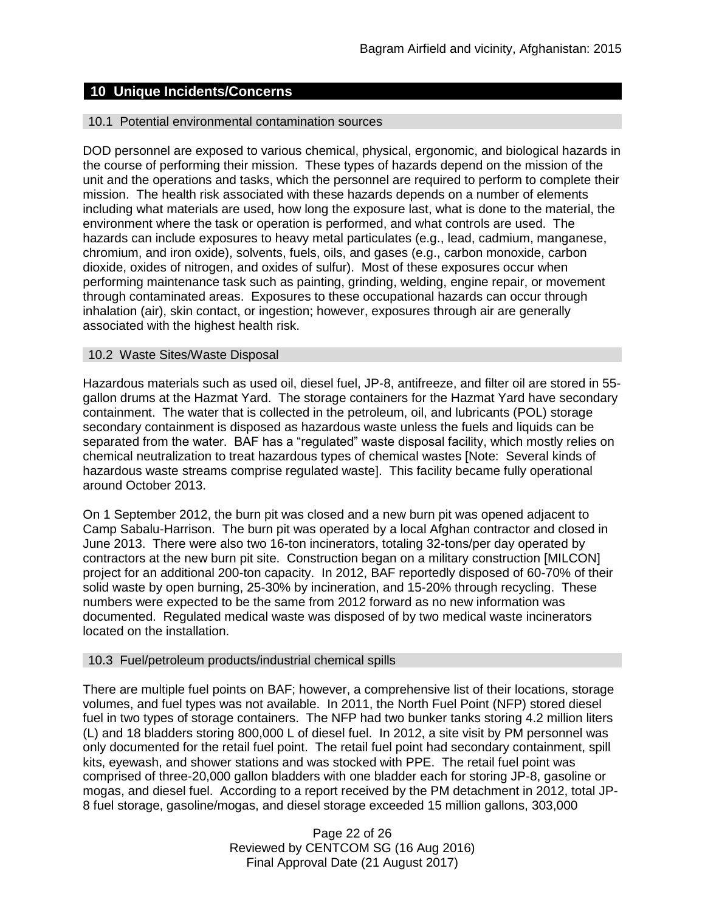## **10 Unique Incidents/Concerns**

#### 10.1 Potential environmental contamination sources

DOD personnel are exposed to various chemical, physical, ergonomic, and biological hazards in the course of performing their mission. These types of hazards depend on the mission of the unit and the operations and tasks, which the personnel are required to perform to complete their mission. The health risk associated with these hazards depends on a number of elements including what materials are used, how long the exposure last, what is done to the material, the environment where the task or operation is performed, and what controls are used. The hazards can include exposures to heavy metal particulates (e.g., lead, cadmium, manganese, chromium, and iron oxide), solvents, fuels, oils, and gases (e.g., carbon monoxide, carbon dioxide, oxides of nitrogen, and oxides of sulfur). Most of these exposures occur when performing maintenance task such as painting, grinding, welding, engine repair, or movement through contaminated areas. Exposures to these occupational hazards can occur through inhalation (air), skin contact, or ingestion; however, exposures through air are generally associated with the highest health risk.

#### 10.2 Waste Sites/Waste Disposal

Hazardous materials such as used oil, diesel fuel, JP-8, antifreeze, and filter oil are stored in 55 gallon drums at the Hazmat Yard. The storage containers for the Hazmat Yard have secondary containment. The water that is collected in the petroleum, oil, and lubricants (POL) storage secondary containment is disposed as hazardous waste unless the fuels and liquids can be separated from the water. BAF has a "regulated" waste disposal facility, which mostly relies on chemical neutralization to treat hazardous types of chemical wastes [Note: Several kinds of hazardous waste streams comprise regulated waste]. This facility became fully operational around October 2013.

On 1 September 2012, the burn pit was closed and a new burn pit was opened adjacent to Camp Sabalu-Harrison. The burn pit was operated by a local Afghan contractor and closed in June 2013. There were also two 16-ton incinerators, totaling 32-tons/per day operated by contractors at the new burn pit site. Construction began on a military construction [MILCON] project for an additional 200-ton capacity. In 2012, BAF reportedly disposed of 60-70% of their solid waste by open burning, 25-30% by incineration, and 15-20% through recycling. These numbers were expected to be the same from 2012 forward as no new information was documented. Regulated medical waste was disposed of by two medical waste incinerators located on the installation.

#### 10.3 Fuel/petroleum products/industrial chemical spills

There are multiple fuel points on BAF; however, a comprehensive list of their locations, storage volumes, and fuel types was not available. In 2011, the North Fuel Point (NFP) stored diesel fuel in two types of storage containers. The NFP had two bunker tanks storing 4.2 million liters (L) and 18 bladders storing 800,000 L of diesel fuel. In 2012, a site visit by PM personnel was only documented for the retail fuel point. The retail fuel point had secondary containment, spill kits, eyewash, and shower stations and was stocked with PPE. The retail fuel point was comprised of three-20,000 gallon bladders with one bladder each for storing JP-8, gasoline or mogas, and diesel fuel. According to a report received by the PM detachment in 2012, total JP-8 fuel storage, gasoline/mogas, and diesel storage exceeded 15 million gallons, 303,000

> Page 22 of 26 Reviewed by CENTCOM SG (16 Aug 2016) Final Approval Date (21 August 2017)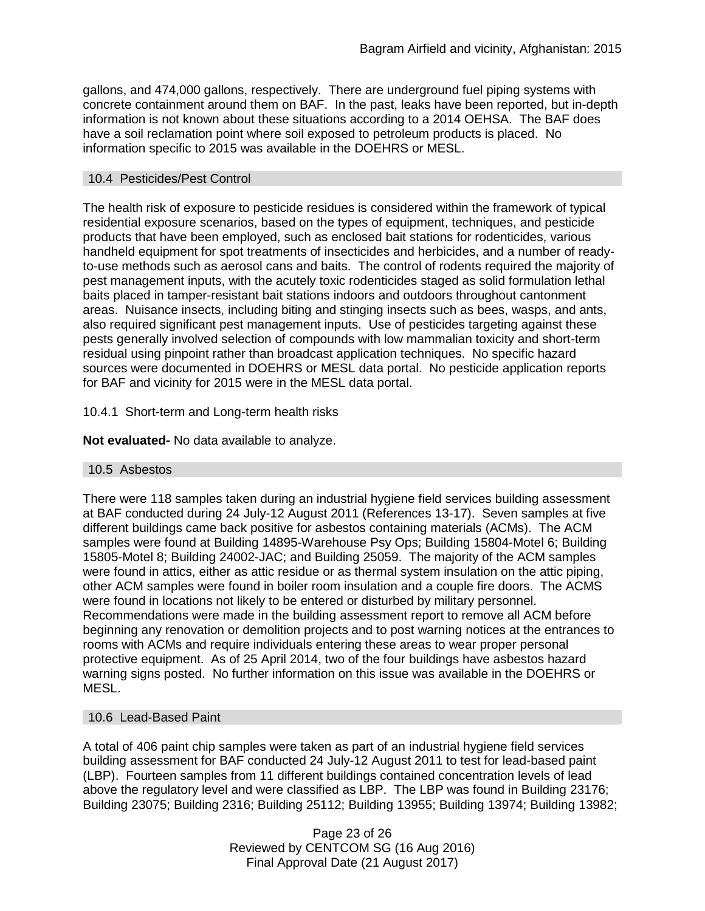gallons, and 474,000 gallons, respectively. There are underground fuel piping systems with concrete containment around them on BAF. In the past, leaks have been reported, but in-depth information is not known about these situations according to a 2014 OEHSA. The BAF does have a soil reclamation point where soil exposed to petroleum products is placed. No information specific to 2015 was available in the DOEHRS or MESL.

#### 10.4 Pesticides/Pest Control

The health risk of exposure to pesticide residues is considered within the framework of typical residential exposure scenarios, based on the types of equipment, techniques, and pesticide products that have been employed, such as enclosed bait stations for rodenticides, various handheld equipment for spot treatments of insecticides and herbicides, and a number of readyto-use methods such as aerosol cans and baits. The control of rodents required the majority of pest management inputs, with the acutely toxic rodenticides staged as solid formulation lethal baits placed in tamper-resistant bait stations indoors and outdoors throughout cantonment areas. Nuisance insects, including biting and stinging insects such as bees, wasps, and ants, also required significant pest management inputs. Use of pesticides targeting against these pests generally involved selection of compounds with low mammalian toxicity and short-term residual using pinpoint rather than broadcast application techniques. No specific hazard sources were documented in DOEHRS or MESL data portal. No pesticide application reports for BAF and vicinity for 2015 were in the MESL data portal.

## 10.4.1 Short-term and Long-term health risks

**Not evaluated-** No data available to analyze.

#### 10.5 Asbestos

There were 118 samples taken during an industrial hygiene field services building assessment at BAF conducted during 24 July-12 August 2011 (References 13-17). Seven samples at five different buildings came back positive for asbestos containing materials (ACMs). The ACM samples were found at Building 14895-Warehouse Psy Ops; Building 15804-Motel 6; Building 15805-Motel 8; Building 24002-JAC; and Building 25059. The majority of the ACM samples were found in attics, either as attic residue or as thermal system insulation on the attic piping, other ACM samples were found in boiler room insulation and a couple fire doors. The ACMS were found in locations not likely to be entered or disturbed by military personnel. Recommendations were made in the building assessment report to remove all ACM before beginning any renovation or demolition projects and to post warning notices at the entrances to rooms with ACMs and require individuals entering these areas to wear proper personal protective equipment. As of 25 April 2014, two of the four buildings have asbestos hazard warning signs posted. No further information on this issue was available in the DOEHRS or MESL.

## 10.6 Lead-Based Paint

A total of 406 paint chip samples were taken as part of an industrial hygiene field services building assessment for BAF conducted 24 July-12 August 2011 to test for lead-based paint (LBP). Fourteen samples from 11 different buildings contained concentration levels of lead above the regulatory level and were classified as LBP. The LBP was found in Building 23176; Building 23075; Building 2316; Building 25112; Building 13955; Building 13974; Building 13982;

> Page 23 of 26 Reviewed by CENTCOM SG (16 Aug 2016) Final Approval Date (21 August 2017)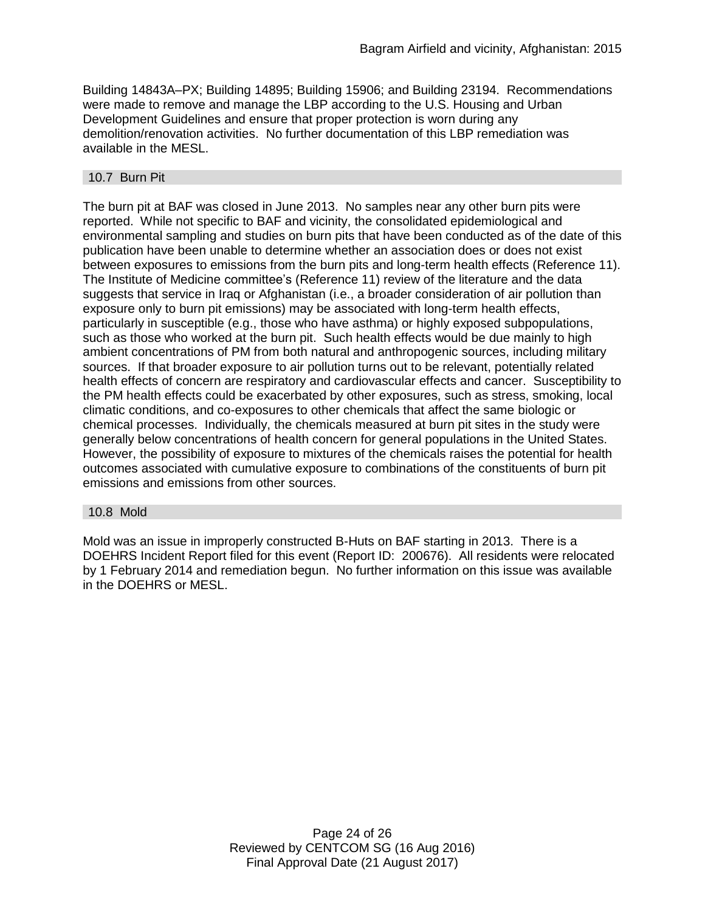Building 14843A–PX; Building 14895; Building 15906; and Building 23194. Recommendations were made to remove and manage the LBP according to the U.S. Housing and Urban Development Guidelines and ensure that proper protection is worn during any demolition/renovation activities. No further documentation of this LBP remediation was available in the MESL.

#### 10.7 Burn Pit

The burn pit at BAF was closed in June 2013. No samples near any other burn pits were reported. While not specific to BAF and vicinity, the consolidated epidemiological and environmental sampling and studies on burn pits that have been conducted as of the date of this publication have been unable to determine whether an association does or does not exist between exposures to emissions from the burn pits and long-term health effects (Reference 11). The Institute of Medicine committee's (Reference 11) review of the literature and the data suggests that service in Iraq or Afghanistan (i.e., a broader consideration of air pollution than exposure only to burn pit emissions) may be associated with long-term health effects, particularly in susceptible (e.g., those who have asthma) or highly exposed subpopulations, such as those who worked at the burn pit. Such health effects would be due mainly to high ambient concentrations of PM from both natural and anthropogenic sources, including military sources. If that broader exposure to air pollution turns out to be relevant, potentially related health effects of concern are respiratory and cardiovascular effects and cancer. Susceptibility to the PM health effects could be exacerbated by other exposures, such as stress, smoking, local climatic conditions, and co-exposures to other chemicals that affect the same biologic or chemical processes. Individually, the chemicals measured at burn pit sites in the study were generally below concentrations of health concern for general populations in the United States. However, the possibility of exposure to mixtures of the chemicals raises the potential for health outcomes associated with cumulative exposure to combinations of the constituents of burn pit emissions and emissions from other sources.

#### 10.8 Mold

Mold was an issue in improperly constructed B-Huts on BAF starting in 2013. There is a DOEHRS Incident Report filed for this event (Report ID: 200676). All residents were relocated by 1 February 2014 and remediation begun. No further information on this issue was available in the DOEHRS or MESL.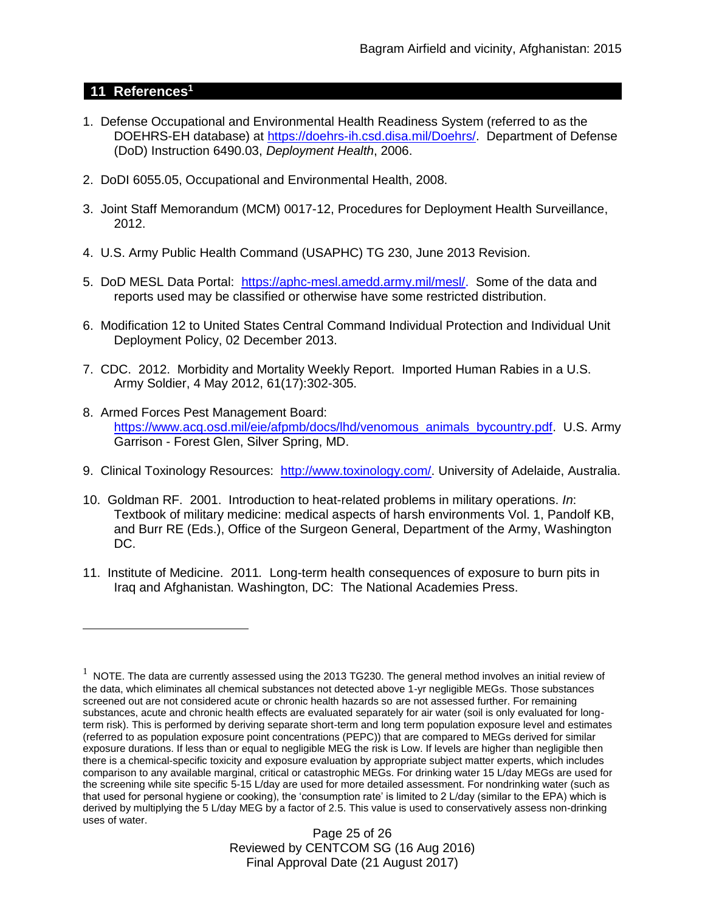## **11 References<sup>1</sup>**

 $\overline{a}$ 

- 1. Defense Occupational and Environmental Health Readiness System (referred to as the DOEHRS-EH database) at [https://doehrs-ih.csd.disa.mil/Doehrs/.](https://doehrs-ih.csd.disa.mil/Doehrs/) Department of Defense (DoD) Instruction 6490.03, *Deployment Health*, 2006.
- 2. DoDI 6055.05, Occupational and Environmental Health, 2008.
- 3. Joint Staff Memorandum (MCM) 0017-12, Procedures for Deployment Health Surveillance, 2012.
- 4. U.S. Army Public Health Command (USAPHC) TG 230, June 2013 Revision.
- 5. DoD MESL Data Portal: [https://aphc-mesl.amedd.army.mil/mesl/.](https://aphc-mesl.amedd.army.mil/mesl/) Some of the data and reports used may be classified or otherwise have some restricted distribution.
- 6. Modification 12 to United States Central Command Individual Protection and Individual Unit Deployment Policy, 02 December 2013.
- 7. CDC. 2012. Morbidity and Mortality Weekly Report. Imported Human Rabies in a U.S. Army Soldier, 4 May 2012, 61(17):302-305.
- 8. Armed Forces Pest Management Board: [https://www.acq.osd.mil/eie/afpmb/docs/lhd/venomous\\_animals\\_bycountry.pdf.](https://www.acq.osd.mil/eie/afpmb/docs/lhd/venomous_animals_bycountry.pdf) U.S. Army Garrison - Forest Glen, Silver Spring, MD.
- 9. Clinical Toxinology Resources: [http://www.toxinology.com/.](http://www.toxinology.com/) University of Adelaide, Australia.
- 10. Goldman RF. 2001. Introduction to heat-related problems in military operations. *In*: Textbook of military medicine: medical aspects of harsh environments Vol. 1, Pandolf KB, and Burr RE (Eds.), Office of the Surgeon General, Department of the Army, Washington DC.
- 11. Institute of Medicine. 2011*.* Long-term health consequences of exposure to burn pits in Iraq and Afghanistan*.* Washington, DC: The National Academies Press.

Page 25 of 26 Reviewed by CENTCOM SG (16 Aug 2016) Final Approval Date (21 August 2017)

 $1$  NOTE. The data are currently assessed using the 2013 TG230. The general method involves an initial review of the data, which eliminates all chemical substances not detected above 1-yr negligible MEGs. Those substances screened out are not considered acute or chronic health hazards so are not assessed further. For remaining substances, acute and chronic health effects are evaluated separately for air water (soil is only evaluated for longterm risk). This is performed by deriving separate short-term and long term population exposure level and estimates (referred to as population exposure point concentrations (PEPC)) that are compared to MEGs derived for similar exposure durations. If less than or equal to negligible MEG the risk is Low. If levels are higher than negligible then there is a chemical-specific toxicity and exposure evaluation by appropriate subject matter experts, which includes comparison to any available marginal, critical or catastrophic MEGs. For drinking water 15 L/day MEGs are used for the screening while site specific 5-15 L/day are used for more detailed assessment. For nondrinking water (such as that used for personal hygiene or cooking), the 'consumption rate' is limited to 2 L/day (similar to the EPA) which is derived by multiplying the 5 L/day MEG by a factor of 2.5. This value is used to conservatively assess non-drinking uses of water.